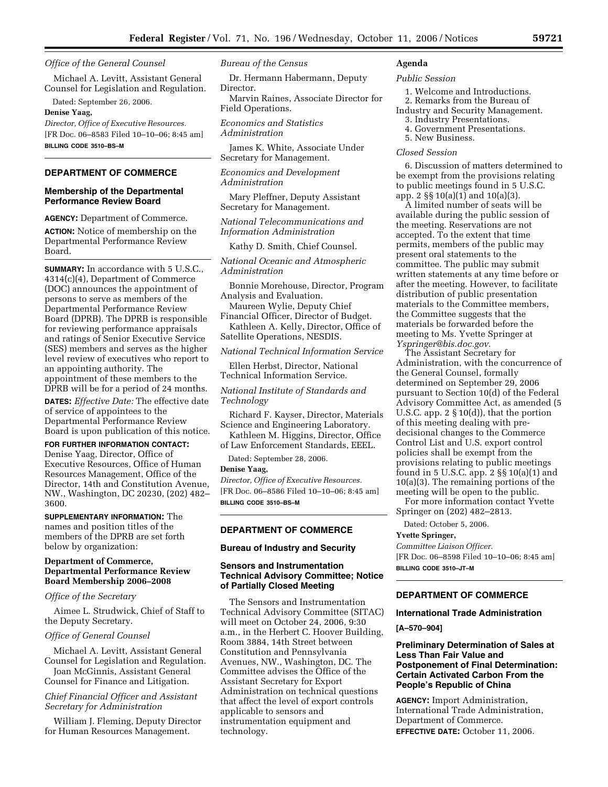#### *Office of the General Counsel*

Michael A. Levitt, Assistant General Counsel for Legislation and Regulation.

Dated: September 26, 2006.

# **Denise Yaag,**

*Director, Office of Executive Resources.*  [FR Doc. 06–8583 Filed 10–10–06; 8:45 am] **BILLING CODE 3510–BS–M** 

# **DEPARTMENT OF COMMERCE**

#### **Membership of the Departmental Performance Review Board**

**AGENCY:** Department of Commerce. **ACTION:** Notice of membership on the Departmental Performance Review Board.

**SUMMARY:** In accordance with 5 U.S.C., 4314(c)(4), Department of Commerce (DOC) announces the appointment of persons to serve as members of the Departmental Performance Review Board (DPRB). The DPRB is responsible for reviewing performance appraisals and ratings of Senior Executive Service (SES) members and serves as the higher level review of executives who report to an appointing authority. The appointment of these members to the DPRB will be for a period of 24 months.

**DATES:** *Effective Date:* The effective date of service of appointees to the Departmental Performance Review Board is upon publication of this notice.

**FOR FURTHER INFORMATION CONTACT:**  Denise Yaag, Director, Office of Executive Resources, Office of Human Resources Management, Office of the Director, 14th and Constitution Avenue, NW., Washington, DC 20230, (202) 482–

**SUPPLEMENTARY INFORMATION:** The names and position titles of the members of the DPRB are set forth below by organization:

## **Department of Commerce, Departmental Performance Review Board Membership 2006–2008**

# *Office of the Secretary*

3600.

Aimee L. Strudwick, Chief of Staff to the Deputy Secretary.

### *Office of General Counsel*

Michael A. Levitt, Assistant General Counsel for Legislation and Regulation.

Joan McGinnis, Assistant General Counsel for Finance and Litigation.

*Chief Financial Officer and Assistant Secretary for Administration* 

William J. Fleming, Deputy Director for Human Resources Management.

#### *Bureau of the Census*

Dr. Hermann Habermann, Deputy Director.

Marvin Raines, Associate Director for Field Operations.

*Economics and Statistics Administration* 

James K. White, Associate Under Secretary for Management.

*Economics and Development Administration* 

Mary Pleffner, Deputy Assistant Secretary for Management.

*National Telecommunications and Information Administration* 

Kathy D. Smith, Chief Counsel.

*National Oceanic and Atmospheric Administration* 

Bonnie Morehouse, Director, Program Analysis and Evaluation.

Maureen Wylie, Deputy Chief Financial Officer, Director of Budget.

Kathleen A. Kelly, Director, Office of Satellite Operations, NESDIS.

*National Technical Information Service* 

Ellen Herbst, Director, National Technical Information Service.

## *National Institute of Standards and Technology*

Richard F. Kayser, Director, Materials Science and Engineering Laboratory.

Kathleen M. Higgins, Director, Office of Law Enforcement Standards, EEEL.

Dated: September 28, 2006.

#### **Denise Yaag,**

*Director, Office of Executive Resources.*  [FR Doc. 06–8586 Filed 10–10–06; 8:45 am] **BILLING CODE 3510–BS–M** 

## **DEPARTMENT OF COMMERCE**

### **Bureau of Industry and Security**

## **Sensors and Instrumentation Technical Advisory Committee; Notice of Partially Closed Meeting**

The Sensors and Instrumentation Technical Advisory Committee (SITAC) will meet on October 24, 2006, 9:30 a.m., in the Herbert C. Hoover Building, Room 3884, 14th Street between Constitution and Pennsylvania Avenues, NW., Washington, DC. The Committee advises the Office of the Assistant Secretary for Export Administration on technical questions that affect the level of export controls applicable to sensors and instrumentation equipment and technology.

# **Agenda**

#### *Public Session*

- 1. Welcome and Introductions.
- 2. Remarks from the Bureau of
- Industry and Security Management.
	- 3. Industry Presentations. 4. Government Presentations.
	- 5. New Business.
	-

# *Closed Session*

6. Discussion of matters determined to be exempt from the provisions relating to public meetings found in 5 U.S.C. app. 2 §§ 10(a)(1) and 10(a)(3).

A limited number of seats will be available during the public session of the meeting. Reservations are not accepted. To the extent that time permits, members of the public may present oral statements to the committee. The public may submit written statements at any time before or after the meeting. However, to facilitate distribution of public presentation materials to the Committee members, the Committee suggests that the materials be forwarded before the meeting to Ms. Yvette Springer at *Yspringer@bis.doc.gov.* 

The Assistant Secretary for Administration, with the concurrence of the General Counsel, formally determined on September 29, 2006 pursuant to Section 10(d) of the Federal Advisory Committee Act, as amended (5 U.S.C. app. 2 § 10(d)), that the portion of this meeting dealing with predecisional changes to the Commerce Control List and U.S. export control policies shall be exempt from the provisions relating to public meetings found in 5 U.S.C. app. 2 §§ 10(a)(1) and 10(a)(3). The remaining portions of the meeting will be open to the public.

For more information contact Yvette Springer on (202) 482–2813.

Dated: October 5, 2006.

#### **Yvette Springer,**

*Committee Liaison Officer.*  [FR Doc. 06–8598 Filed 10–10–06; 8:45 am] **BILLING CODE 3510–JT–M** 

# **DEPARTMENT OF COMMERCE**

## **International Trade Administration**

**[A–570–904]** 

## **Preliminary Determination of Sales at Less Than Fair Value and Postponement of Final Determination: Certain Activated Carbon From the People's Republic of China**

**AGENCY:** Import Administration, International Trade Administration, Department of Commerce. **EFFECTIVE DATE:** October 11, 2006.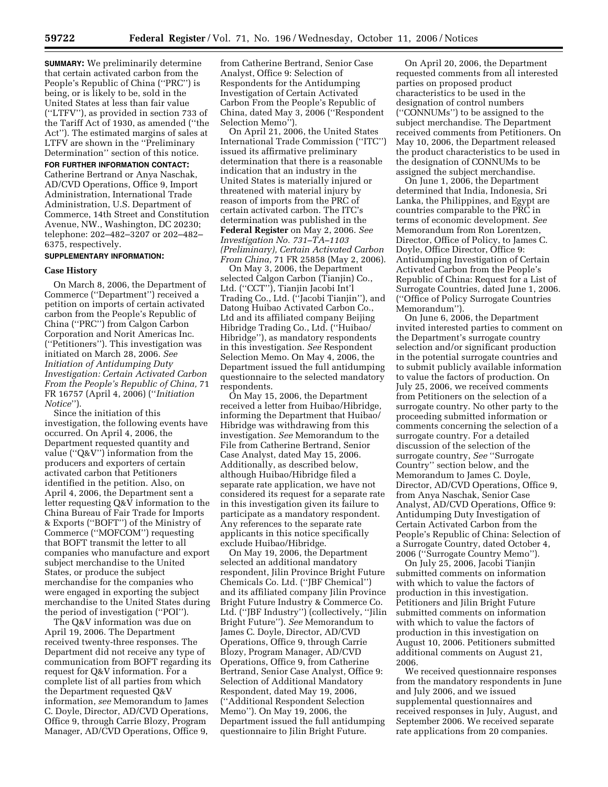**SUMMARY:** We preliminarily determine that certain activated carbon from the People's Republic of China (''PRC'') is being, or is likely to be, sold in the United States at less than fair value (''LTFV''), as provided in section 733 of the Tariff Act of 1930, as amended (''the Act''). The estimated margins of sales at LTFV are shown in the ''Preliminary Determination'' section of this notice.

**FOR FURTHER INFORMATION CONTACT:**  Catherine Bertrand or Anya Naschak, AD/CVD Operations, Office 9, Import Administration, International Trade Administration, U.S. Department of Commerce, 14th Street and Constitution Avenue, NW., Washington, DC 20230; telephone: 202–482–3207 or 202–482– 6375, respectively.

## **SUPPLEMENTARY INFORMATION:**

#### **Case History**

On March 8, 2006, the Department of Commerce (''Department'') received a petition on imports of certain activated carbon from the People's Republic of China (''PRC'') from Calgon Carbon Corporation and Norit Americas Inc. (''Petitioners''). This investigation was initiated on March 28, 2006. *See Initiation of Antidumping Duty Investigation: Certain Activated Carbon From the People's Republic of China,* 71 FR 16757 (April 4, 2006) (''*Initiation Notice*'').

Since the initiation of this investigation, the following events have occurred. On April 4, 2006, the Department requested quantity and value (''Q&V'') information from the producers and exporters of certain activated carbon that Petitioners identified in the petition. Also, on April 4, 2006, the Department sent a letter requesting Q&V information to the China Bureau of Fair Trade for Imports & Exports (''BOFT'') of the Ministry of Commerce (''MOFCOM'') requesting that BOFT transmit the letter to all companies who manufacture and export subject merchandise to the United States, or produce the subject merchandise for the companies who were engaged in exporting the subject merchandise to the United States during the period of investigation (''POI'').

The Q&V information was due on April 19, 2006. The Department received twenty-three responses. The Department did not receive any type of communication from BOFT regarding its request for Q&V information. For a complete list of all parties from which the Department requested Q&V information, *see* Memorandum to James C. Doyle, Director, AD/CVD Operations, Office 9, through Carrie Blozy, Program Manager, AD/CVD Operations, Office 9,

from Catherine Bertrand, Senior Case Analyst, Office 9: Selection of Respondents for the Antidumping Investigation of Certain Activated Carbon From the People's Republic of China, dated May 3, 2006 (''Respondent Selection Memo'').

On April 21, 2006, the United States International Trade Commission (''ITC'') issued its affirmative preliminary determination that there is a reasonable indication that an industry in the United States is materially injured or threatened with material injury by reason of imports from the PRC of certain activated carbon. The ITC's determination was published in the **Federal Register** on May 2, 2006. *See Investigation No. 731–TA–1103 (Preliminary), Certain Activated Carbon From China,* 71 FR 25858 (May 2, 2006).

On May 3, 2006, the Department selected Calgon Carbon (Tianjin) Co., Ltd. (''CCT''), Tianjin Jacobi Int'l Trading Co., Ltd. (''Jacobi Tianjin''), and Datong Huibao Activated Carbon Co., Ltd and its affiliated company Beijing Hibridge Trading Co., Ltd. (''Huibao/ Hibridge''), as mandatory respondents in this investigation. *See* Respondent Selection Memo. On May 4, 2006, the Department issued the full antidumping questionnaire to the selected mandatory respondents.

On May 15, 2006, the Department received a letter from Huibao/Hibridge, informing the Department that Huibao/ Hibridge was withdrawing from this investigation. *See* Memorandum to the File from Catherine Bertrand, Senior Case Analyst, dated May 15, 2006. Additionally, as described below, although Huibao/Hibridge filed a separate rate application, we have not considered its request for a separate rate in this investigation given its failure to participate as a mandatory respondent. Any references to the separate rate applicants in this notice specifically exclude Huibao/Hibridge.

On May 19, 2006, the Department selected an additional mandatory respondent, Jilin Province Bright Future Chemicals Co. Ltd. (''JBF Chemical'') and its affiliated company Jilin Province Bright Future Industry & Commerce Co. Ltd. (''JBF Industry'') (collectively, ''Jilin Bright Future''). *See* Memorandum to James C. Doyle, Director, AD/CVD Operations, Office 9, through Carrie Blozy, Program Manager, AD/CVD Operations, Office 9, from Catherine Bertrand, Senior Case Analyst, Office 9: Selection of Additional Mandatory Respondent, dated May 19, 2006, (''Additional Respondent Selection Memo''). On May 19, 2006, the Department issued the full antidumping questionnaire to Jilin Bright Future.

On April 20, 2006, the Department requested comments from all interested parties on proposed product characteristics to be used in the designation of control numbers (''CONNUMs'') to be assigned to the subject merchandise. The Department received comments from Petitioners. On May 10, 2006, the Department released the product characteristics to be used in the designation of CONNUMs to be assigned the subject merchandise.

On June 1, 2006, the Department determined that India, Indonesia, Sri Lanka, the Philippines, and Egypt are countries comparable to the PRC in terms of economic development. *See*  Memorandum from Ron Lorentzen, Director, Office of Policy, to James C. Doyle, Office Director, Office 9: Antidumping Investigation of Certain Activated Carbon from the People's Republic of China: Request for a List of Surrogate Countries, dated June 1, 2006. (''Office of Policy Surrogate Countries Memorandum'').

On June 6, 2006, the Department invited interested parties to comment on the Department's surrogate country selection and/or significant production in the potential surrogate countries and to submit publicly available information to value the factors of production. On July 25, 2006, we received comments from Petitioners on the selection of a surrogate country. No other party to the proceeding submitted information or comments concerning the selection of a surrogate country. For a detailed discussion of the selection of the surrogate country, *See* ''Surrogate Country'' section below, and the Memorandum to James C. Doyle, Director, AD/CVD Operations, Office 9, from Anya Naschak, Senior Case Analyst, AD/CVD Operations, Office 9: Antidumping Duty Investigation of Certain Activated Carbon from the People's Republic of China: Selection of a Surrogate Country, dated October 4, 2006 (''Surrogate Country Memo'').

On July 25, 2006, Jacobi Tianjin submitted comments on information with which to value the factors of production in this investigation. Petitioners and Jilin Bright Future submitted comments on information with which to value the factors of production in this investigation on August 10, 2006. Petitioners submitted additional comments on August 21, 2006.

We received questionnaire responses from the mandatory respondents in June and July 2006, and we issued supplemental questionnaires and received responses in July, August, and September 2006. We received separate rate applications from 20 companies.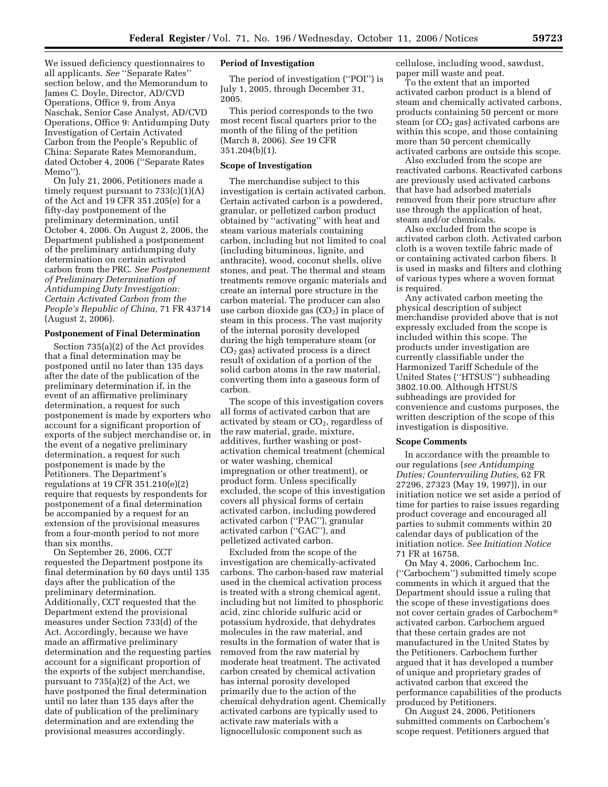We issued deficiency questionnaires to all applicants. *See* ''Separate Rates'' section below, and the Memorandum to James C. Doyle, Director, AD/CVD Operations, Office 9, from Anya Naschak, Senior Case Analyst, AD/CVD Operations, Office 9: Antidumping Duty Investigation of Certain Activated Carbon from the People's Republic of China: Separate Rates Memorandum, dated October 4, 2006 (''Separate Rates Memo'').

On July 21, 2006, Petitioners made a timely request pursuant to  $733(c)(1)(A)$ of the Act and 19 CFR 351.205(e) for a fifty-day postponement of the preliminary determination, until October 4, 2006. On August 2, 2006, the Department published a postponement of the preliminary antidumping duty determination on certain activated carbon from the PRC. *See Postponement of Preliminary Determination of Antidumping Duty Investigation: Certain Activated Carbon from the People's Republic of China,* 71 FR 43714 (August 2, 2006).

## **Postponement of Final Determination**

Section 735(a)(2) of the Act provides that a final determination may be postponed until no later than 135 days after the date of the publication of the preliminary determination if, in the event of an affirmative preliminary determination, a request for such postponement is made by exporters who account for a significant proportion of exports of the subject merchandise or, in the event of a negative preliminary determination, a request for such postponement is made by the Petitioners. The Department's regulations at 19 CFR 351.210(e)(2) require that requests by respondents for postponement of a final determination be accompanied by a request for an extension of the provisional measures from a four-month period to not more than six months.

On September 26, 2006, CCT requested the Department postpone its final determination by 60 days until 135 days after the publication of the preliminary determination. Additionally, CCT requested that the Department extend the provisional measures under Section 733(d) of the Act. Accordingly, because we have made an affirmative preliminary determination and the requesting parties account for a significant proportion of the exports of the subject merchandise, pursuant to 735(a)(2) of the Act, we have postponed the final determination until no later than 135 days after the date of publication of the preliminary determination and are extending the provisional measures accordingly.

### **Period of Investigation**

The period of investigation (''POI'') is July 1, 2005, through December 31, 2005.

This period corresponds to the two most recent fiscal quarters prior to the month of the filing of the petition (March 8, 2006). *See* 19 CFR 351.204(b)(1).

## **Scope of Investigation**

The merchandise subject to this investigation is certain activated carbon. Certain activated carbon is a powdered, granular, or pelletized carbon product obtained by ''activating'' with heat and steam various materials containing carbon, including but not limited to coal (including bituminous, lignite, and anthracite), wood, coconut shells, olive stones, and peat. The thermal and steam treatments remove organic materials and create an internal pore structure in the carbon material. The producer can also use carbon dioxide gas  $(CO<sub>2</sub>)$  in place of steam in this process. The vast majority of the internal porosity developed during the high temperature steam (or  $CO<sub>2</sub>$  gas) activated process is a direct result of oxidation of a portion of the solid carbon atoms in the raw material, converting them into a gaseous form of carbon.

The scope of this investigation covers all forms of activated carbon that are activated by steam or  $CO<sub>2</sub>$ , regardless of the raw material, grade, mixture, additives, further washing or postactivation chemical treatment (chemical or water washing, chemical impregnation or other treatment), or product form. Unless specifically excluded, the scope of this investigation covers all physical forms of certain activated carbon, including powdered activated carbon (''PAC''), granular activated carbon (''GAC''), and pelletized activated carbon.

Excluded from the scope of the investigation are chemically-activated carbons. The carbon-based raw material used in the chemical activation process is treated with a strong chemical agent, including but not limited to phosphoric acid, zinc chloride sulfuric acid or potassium hydroxide, that dehydrates molecules in the raw material, and results in the formation of water that is removed from the raw material by moderate heat treatment. The activated carbon created by chemical activation has internal porosity developed primarily due to the action of the chemical dehydration agent. Chemically activated carbons are typically used to activate raw materials with a lignocellulosic component such as

cellulose, including wood, sawdust, paper mill waste and peat.

To the extent that an imported activated carbon product is a blend of steam and chemically activated carbons, products containing 50 percent or more steam (or  $CO<sub>2</sub>$  gas) activated carbons are within this scope, and those containing more than 50 percent chemically activated carbons are outside this scope.

Also excluded from the scope are reactivated carbons. Reactivated carbons are previously used activated carbons that have had adsorbed materials removed from their pore structure after use through the application of heat, steam and/or chemicals.

Also excluded from the scope is activated carbon cloth. Activated carbon cloth is a woven textile fabric made of or containing activated carbon fibers. It is used in masks and filters and clothing of various types where a woven format is required.

Any activated carbon meeting the physical description of subject merchandise provided above that is not expressly excluded from the scope is included within this scope. The products under investigation are currently classifiable under the Harmonized Tariff Schedule of the United States (''HTSUS'') subheading 3802.10.00. Although HTSUS subheadings are provided for convenience and customs purposes, the written description of the scope of this investigation is dispositive.

#### **Scope Comments**

In accordance with the preamble to our regulations (*see Antidumping Duties; Countervailing Duties,* 62 FR 27296, 27323 (May 19, 1997)), in our initiation notice we set aside a period of time for parties to raise issues regarding product coverage and encouraged all parties to submit comments within 20 calendar days of publication of the initiation notice. *See Initiation Notice*  71 FR at 16758.

On May 4, 2006, Carbochem Inc. (''Carbochem'') submitted timely scope comments in which it argued that the Department should issue a ruling that the scope of these investigations does not cover certain grades of Carbochem activated carbon. Carbochem argued that these certain grades are not manufactured in the United States by the Petitioners. Carbochem further argued that it has developed a number of unique and proprietary grades of activated carbon that exceed the performance capabilities of the products produced by Petitioners.

On August 24, 2006, Petitioners submitted comments on Carbochem's scope request. Petitioners argued that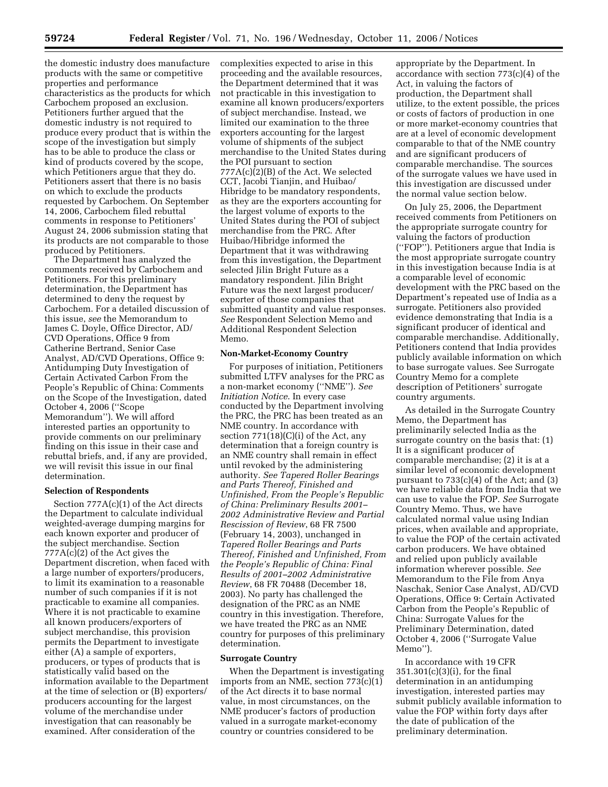the domestic industry does manufacture products with the same or competitive properties and performance characteristics as the products for which Carbochem proposed an exclusion. Petitioners further argued that the domestic industry is not required to produce every product that is within the scope of the investigation but simply has to be able to produce the class or kind of products covered by the scope, which Petitioners argue that they do. Petitioners assert that there is no basis on which to exclude the products requested by Carbochem. On September 14, 2006, Carbochem filed rebuttal comments in response to Petitioners' August 24, 2006 submission stating that its products are not comparable to those produced by Petitioners.

The Department has analyzed the comments received by Carbochem and Petitioners. For this preliminary determination, the Department has determined to deny the request by Carbochem. For a detailed discussion of this issue, *see* the Memorandum to James C. Doyle, Office Director, AD/ CVD Operations, Office 9 from Catherine Bertrand, Senior Case Analyst, AD/CVD Operations, Office 9: Antidumping Duty Investigation of Certain Activated Carbon From the People's Republic of China: Comments on the Scope of the Investigation, dated October 4, 2006 (''Scope Memorandum''). We will afford interested parties an opportunity to provide comments on our preliminary finding on this issue in their case and rebuttal briefs, and, if any are provided, we will revisit this issue in our final determination.

## **Selection of Respondents**

Section 777A(c)(1) of the Act directs the Department to calculate individual weighted-average dumping margins for each known exporter and producer of the subject merchandise. Section 777A(c)(2) of the Act gives the Department discretion, when faced with a large number of exporters/producers, to limit its examination to a reasonable number of such companies if it is not practicable to examine all companies. Where it is not practicable to examine all known producers/exporters of subject merchandise, this provision permits the Department to investigate either (A) a sample of exporters, producers, or types of products that is statistically valid based on the information available to the Department at the time of selection or (B) exporters/ producers accounting for the largest volume of the merchandise under investigation that can reasonably be examined. After consideration of the

complexities expected to arise in this proceeding and the available resources, the Department determined that it was not practicable in this investigation to examine all known producers/exporters of subject merchandise. Instead, we limited our examination to the three exporters accounting for the largest volume of shipments of the subject merchandise to the United States during the POI pursuant to section 777A(c)(2)(B) of the Act. We selected CCT, Jacobi Tianjin, and Huibao/ Hibridge to be mandatory respondents, as they are the exporters accounting for the largest volume of exports to the United States during the POI of subject merchandise from the PRC. After Huibao/Hibridge informed the Department that it was withdrawing from this investigation, the Department selected Jilin Bright Future as a mandatory respondent. Jilin Bright Future was the next largest producer/ exporter of those companies that submitted quantity and value responses. *See* Respondent Selection Memo and Additional Respondent Selection Memo.

## **Non-Market-Economy Country**

For purposes of initiation, Petitioners submitted LTFV analyses for the PRC as a non-market economy (''NME''). *See Initiation Notice*. In every case conducted by the Department involving the PRC, the PRC has been treated as an NME country. In accordance with section 771(18)(C)(i) of the Act, any determination that a foreign country is an NME country shall remain in effect until revoked by the administering authority. *See Tapered Roller Bearings and Parts Thereof, Finished and Unfinished, From the People's Republic of China: Preliminary Results 2001– 2002 Administrative Review and Partial Rescission of Review*, 68 FR 7500 (February 14, 2003), unchanged in *Tapered Roller Bearings and Parts Thereof, Finished and Unfinished, From the People's Republic of China: Final Results of 2001–2002 Administrative Review*, 68 FR 70488 (December 18, 2003). No party has challenged the designation of the PRC as an NME country in this investigation. Therefore, we have treated the PRC as an NME country for purposes of this preliminary determination.

#### **Surrogate Country**

When the Department is investigating imports from an NME, section  $773(c)(1)$ of the Act directs it to base normal value, in most circumstances, on the NME producer's factors of production valued in a surrogate market-economy country or countries considered to be

appropriate by the Department. In accordance with section 773(c)(4) of the Act, in valuing the factors of production, the Department shall utilize, to the extent possible, the prices or costs of factors of production in one or more market-economy countries that are at a level of economic development comparable to that of the NME country and are significant producers of comparable merchandise. The sources of the surrogate values we have used in this investigation are discussed under the normal value section below.

On July 25, 2006, the Department received comments from Petitioners on the appropriate surrogate country for valuing the factors of production (''FOP''). Petitioners argue that India is the most appropriate surrogate country in this investigation because India is at a comparable level of economic development with the PRC based on the Department's repeated use of India as a surrogate. Petitioners also provided evidence demonstrating that India is a significant producer of identical and comparable merchandise. Additionally, Petitioners contend that India provides publicly available information on which to base surrogate values. See Surrogate Country Memo for a complete description of Petitioners' surrogate country arguments.

As detailed in the Surrogate Country Memo, the Department has preliminarily selected India as the surrogate country on the basis that: (1) It is a significant producer of comparable merchandise; (2) it is at a similar level of economic development pursuant to 733(c)(4) of the Act; and (3) we have reliable data from India that we can use to value the FOP. *See* Surrogate Country Memo. Thus, we have calculated normal value using Indian prices, when available and appropriate, to value the FOP of the certain activated carbon producers. We have obtained and relied upon publicly available information wherever possible. *See*  Memorandum to the File from Anya Naschak, Senior Case Analyst, AD/CVD Operations, Office 9: Certain Activated Carbon from the People's Republic of China: Surrogate Values for the Preliminary Determination, dated October 4, 2006 (''Surrogate Value Memo'').

In accordance with 19 CFR 351.301(c)(3)(i), for the final determination in an antidumping investigation, interested parties may submit publicly available information to value the FOP within forty days after the date of publication of the preliminary determination.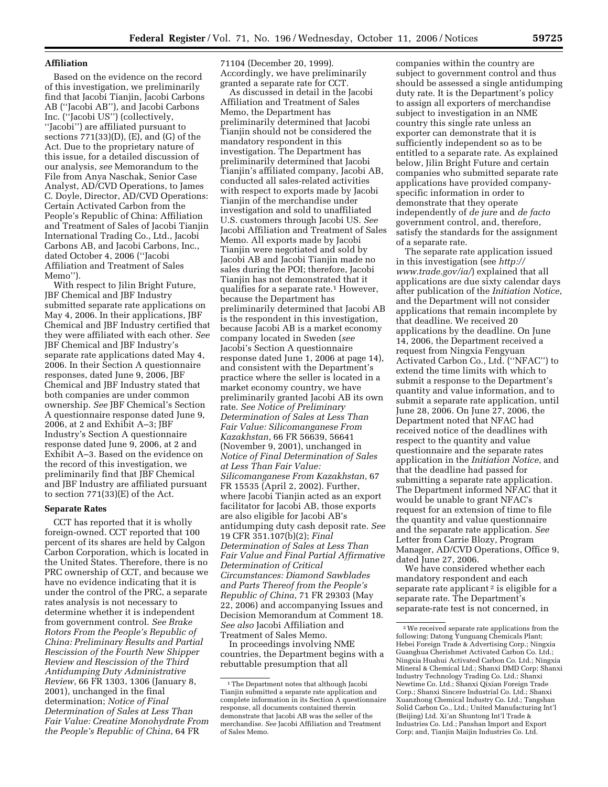## **Affiliation**

Based on the evidence on the record of this investigation, we preliminarily find that Jacobi Tianjin, Jacobi Carbons AB (''Jacobi AB''), and Jacobi Carbons Inc. (''Jacobi US'') (collectively, ''Jacobi'') are affiliated pursuant to sections  $771(33)(D)$ ,  $(E)$ , and  $(G)$  of the Act. Due to the proprietary nature of this issue, for a detailed discussion of our analysis, *see* Memorandum to the File from Anya Naschak, Senior Case Analyst, AD/CVD Operations, to James C. Doyle, Director, AD/CVD Operations: Certain Activated Carbon from the People's Republic of China: Affiliation and Treatment of Sales of Jacobi Tianjin International Trading Co., Ltd., Jacobi Carbons AB, and Jacobi Carbons, Inc., dated October 4, 2006 (''Jacobi Affiliation and Treatment of Sales Memo'').

With respect to Jilin Bright Future, JBF Chemical and JBF Industry submitted separate rate applications on May 4, 2006. In their applications, JBF Chemical and JBF Industry certified that they were affiliated with each other. *See*  JBF Chemical and JBF Industry's separate rate applications dated May 4, 2006. In their Section A questionnaire responses, dated June 9, 2006, JBF Chemical and JBF Industry stated that both companies are under common ownership. *See* JBF Chemical's Section A questionnaire response dated June 9, 2006, at 2 and Exhibit A–3; JBF Industry's Section A questionnaire response dated June 9, 2006, at 2 and Exhibit A–3. Based on the evidence on the record of this investigation, we preliminarily find that JBF Chemical and JBF Industry are affiliated pursuant to section 771(33)(E) of the Act.

## **Separate Rates**

CCT has reported that it is wholly foreign-owned. CCT reported that 100 percent of its shares are held by Calgon Carbon Corporation, which is located in the United States. Therefore, there is no PRC ownership of CCT, and because we have no evidence indicating that it is under the control of the PRC, a separate rates analysis is not necessary to determine whether it is independent from government control. *See Brake Rotors From the People's Republic of China: Preliminary Results and Partial Rescission of the Fourth New Shipper Review and Rescission of the Third Antidumping Duty Administrative Review*, 66 FR 1303, 1306 (January 8, 2001), unchanged in the final determination; *Notice of Final Determination of Sales at Less Than Fair Value: Creatine Monohydrate From the People's Republic of China*, 64 FR

71104 (December 20, 1999). Accordingly, we have preliminarily granted a separate rate for CCT.

As discussed in detail in the Jacobi Affiliation and Treatment of Sales Memo, the Department has preliminarily determined that Jacobi Tianjin should not be considered the mandatory respondent in this investigation. The Department has preliminarily determined that Jacobi Tianjin's affiliated company, Jacobi AB, conducted all sales-related activities with respect to exports made by Jacobi Tianjin of the merchandise under investigation and sold to unaffiliated U.S. customers through Jacobi US. *See*  Jacobi Affiliation and Treatment of Sales Memo. All exports made by Jacobi Tianjin were negotiated and sold by Jacobi AB and Jacobi Tianjin made no sales during the POI; therefore, Jacobi Tianjin has not demonstrated that it qualifies for a separate rate.1 However, because the Department has preliminarily determined that Jacobi AB is the respondent in this investigation, because Jacobi AB is a market economy company located in Sweden (*see*  Jacobi's Section A questionnaire response dated June 1, 2006 at page 14), and consistent with the Department's practice where the seller is located in a market economy country, we have preliminarily granted Jacobi AB its own rate. *See Notice of Preliminary Determination of Sales at Less Than Fair Value: Silicomanganese From Kazakhstan*, 66 FR 56639, 56641 (November 9, 2001), unchanged in *Notice of Final Determination of Sales at Less Than Fair Value: Silicomanganese From Kazakhstan*, 67 FR 15535 (April 2, 2002). Further, where Jacobi Tianjin acted as an export facilitator for Jacobi AB, those exports are also eligible for Jacobi AB's antidumping duty cash deposit rate. *See*  19 CFR 351.107(b)(2); *Final Determination of Sales at Less Than Fair Value and Final Partial Affirmative Determination of Critical Circumstances: Diamond Sawblades and Parts Thereof from the People's Republic of China*, 71 FR 29303 (May 22, 2006) and accompanying Issues and Decision Memorandum at Comment 18. *See also* Jacobi Affiliation and Treatment of Sales Memo.

In proceedings involving NME countries, the Department begins with a rebuttable presumption that all

companies within the country are subject to government control and thus should be assessed a single antidumping duty rate. It is the Department's policy to assign all exporters of merchandise subject to investigation in an NME country this single rate unless an exporter can demonstrate that it is sufficiently independent so as to be entitled to a separate rate. As explained below, Jilin Bright Future and certain companies who submitted separate rate applications have provided companyspecific information in order to demonstrate that they operate independently of *de jure* and *de facto*  government control, and, therefore, satisfy the standards for the assignment of a separate rate.

The separate rate application issued in this investigation (see *http:// www.trade.gov/ia/*) explained that all applications are due sixty calendar days after publication of the *Initiation Notice*, and the Department will not consider applications that remain incomplete by that deadline. We received 20 applications by the deadline. On June 14, 2006, the Department received a request from Ningxia Fengyuan Activated Carbon Co., Ltd. (''NFAC'') to extend the time limits with which to submit a response to the Department's quantity and value information, and to submit a separate rate application, until June 28, 2006. On June 27, 2006, the Department noted that NFAC had received notice of the deadlines with respect to the quantity and value questionnaire and the separate rates application in the *Initiation Notice*, and that the deadline had passed for submitting a separate rate application. The Department informed NFAC that it would be unable to grant NFAC's request for an extension of time to file the quantity and value questionnaire and the separate rate application. *See*  Letter from Carrie Blozy, Program Manager, AD/CVD Operations, Office 9, dated June 27, 2006.

We have considered whether each mandatory respondent and each separate rate applicant<sup>2</sup> is eligible for a separate rate. The Department's separate-rate test is not concerned, in

<sup>1</sup>The Department notes that although Jacobi Tianjin submitted a separate rate application and complete information in its Section A questionnaire response, all documents contained therein demonstrate that Jacobi AB was the seller of the merchandise. *See* Jacobi Affiliation and Treatment of Sales Memo.

<sup>2</sup>We received separate rate applications from the following: Datong Yunguang Chemicals Plant; Hebei Foreign Trade & Advertising Corp.; Ningxia Guanghua Cherishmet Activated Carbon Co. Ltd.; Ningxia Huahui Activated Carbon Co. Ltd.; Ningxia Mineral & Chemical Ltd.; Shanxi DMD Corp; Shanxi Industry Technology Trading Co. Ltd.; Shanxi Newtime Co. Ltd.; Shanxi Qixian Foreign Trade Corp.; Shanxi Sincere Industrial Co. Ltd.; Shanxi Xuanzhong Chemical Industry Co. Ltd.; Tangshan Solid Carbon Co., Ltd.; United Manufacturing Int'l (Beijing) Ltd. Xi'an Shuntong Int'l Trade & Industries Co. Ltd.; Panshan Import and Export Corp; and, Tianjin Maijin Industries Co. Ltd.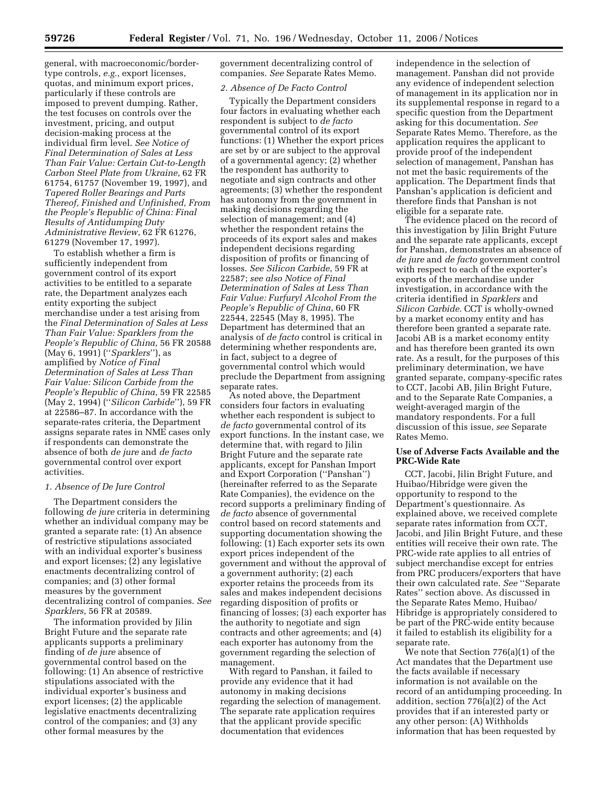general, with macroeconomic/bordertype controls, *e.g.*, export licenses, quotas, and minimum export prices, particularly if these controls are imposed to prevent dumping. Rather, the test focuses on controls over the investment, pricing, and output decision-making process at the individual firm level. *See Notice of Final Determination of Sales at Less Than Fair Value: Certain Cut-to-Length Carbon Steel Plate from Ukraine*, 62 FR 61754, 61757 (November 19, 1997), and *Tapered Roller Bearings and Parts Thereof, Finished and Unfinished, From the People's Republic of China: Final Results of Antidumping Duty Administrative Review*, 62 FR 61276, 61279 (November 17, 1997).

To establish whether a firm is sufficiently independent from government control of its export activities to be entitled to a separate rate, the Department analyzes each entity exporting the subject merchandise under a test arising from the *Final Determination of Sales at Less Than Fair Value: Sparklers from the People's Republic of China*, 56 FR 20588 (May 6, 1991) (''*Sparklers*''), as amplified by *Notice of Final Determination of Sales at Less Than Fair Value: Silicon Carbide from the People's Republic of China*, 59 FR 22585 (May 2, 1994) (''*Silicon Carbide*''), 59 FR at 22586–87. In accordance with the separate-rates criteria, the Department assigns separate rates in NME cases only if respondents can demonstrate the absence of both *de jure* and *de facto*  governmental control over export activities.

#### *1. Absence of De Jure Control*

The Department considers the following *de jure* criteria in determining whether an individual company may be granted a separate rate: (1) An absence of restrictive stipulations associated with an individual exporter's business and export licenses; (2) any legislative enactments decentralizing control of companies; and (3) other formal measures by the government decentralizing control of companies. *See Sparklers*, 56 FR at 20589.

The information provided by Jilin Bright Future and the separate rate applicants supports a preliminary finding of *de jure* absence of governmental control based on the following: (1) An absence of restrictive stipulations associated with the individual exporter's business and export licenses; (2) the applicable legislative enactments decentralizing control of the companies; and (3) any other formal measures by the

government decentralizing control of companies. *See* Separate Rates Memo.

#### *2. Absence of De Facto Control*

Typically the Department considers four factors in evaluating whether each respondent is subject to *de facto*  governmental control of its export functions: (1) Whether the export prices are set by or are subject to the approval of a governmental agency; (2) whether the respondent has authority to negotiate and sign contracts and other agreements; (3) whether the respondent has autonomy from the government in making decisions regarding the selection of management; and (4) whether the respondent retains the proceeds of its export sales and makes independent decisions regarding disposition of profits or financing of losses. *See Silicon Carbide*, 59 FR at 22587; *see also Notice of Final Determination of Sales at Less Than Fair Value: Furfuryl Alcohol From the People's Republic of China*, 60 FR 22544, 22545 (May 8, 1995). The Department has determined that an analysis of *de facto* control is critical in determining whether respondents are, in fact, subject to a degree of governmental control which would preclude the Department from assigning separate rates.

As noted above, the Department considers four factors in evaluating whether each respondent is subject to *de facto* governmental control of its export functions. In the instant case, we determine that, with regard to Jilin Bright Future and the separate rate applicants, except for Panshan Import and Export Corporation (''Panshan'') (hereinafter referred to as the Separate Rate Companies), the evidence on the record supports a preliminary finding of *de facto* absence of governmental control based on record statements and supporting documentation showing the following: (1) Each exporter sets its own export prices independent of the government and without the approval of a government authority; (2) each exporter retains the proceeds from its sales and makes independent decisions regarding disposition of profits or financing of losses; (3) each exporter has the authority to negotiate and sign contracts and other agreements; and (4) each exporter has autonomy from the government regarding the selection of management.

With regard to Panshan, it failed to provide any evidence that it had autonomy in making decisions regarding the selection of management. The separate rate application requires that the applicant provide specific documentation that evidences

independence in the selection of management. Panshan did not provide any evidence of independent selection of management in its application nor in its supplemental response in regard to a specific question from the Department asking for this documentation. *See*  Separate Rates Memo. Therefore, as the application requires the applicant to provide proof of the independent selection of management, Panshan has not met the basic requirements of the application. The Department finds that Panshan's application is deficient and therefore finds that Panshan is not eligible for a separate rate.

The evidence placed on the record of this investigation by Jilin Bright Future and the separate rate applicants, except for Panshan, demonstrates an absence of *de jure* and *de facto* government control with respect to each of the exporter's exports of the merchandise under investigation, in accordance with the criteria identified in *Sparklers* and *Silicon Carbide*. CCT is wholly-owned by a market economy entity and has therefore been granted a separate rate. Jacobi AB is a market economy entity and has therefore been granted its own rate. As a result, for the purposes of this preliminary determination, we have granted separate, company-specific rates to CCT, Jacobi AB, Jilin Bright Future, and to the Separate Rate Companies, a weight-averaged margin of the mandatory respondents. For a full discussion of this issue, *see* Separate Rates Memo.

## **Use of Adverse Facts Available and the PRC-Wide Rate**

CCT, Jacobi, Jilin Bright Future, and Huibao/Hibridge were given the opportunity to respond to the Department's questionnaire. As explained above, we received complete separate rates information from CCT, Jacobi, and Jilin Bright Future, and these entities will receive their own rate. The PRC-wide rate applies to all entries of subject merchandise except for entries from PRC producers/exporters that have their own calculated rate. *See* ''Separate Rates'' section above. As discussed in the Separate Rates Memo, Huibao/ Hibridge is appropriately considered to be part of the PRC-wide entity because it failed to establish its eligibility for a separate rate.

We note that Section 776(a)(1) of the Act mandates that the Department use the facts available if necessary information is not available on the record of an antidumping proceeding. In addition, section 776(a)(2) of the Act provides that if an interested party or any other person: (A) Withholds information that has been requested by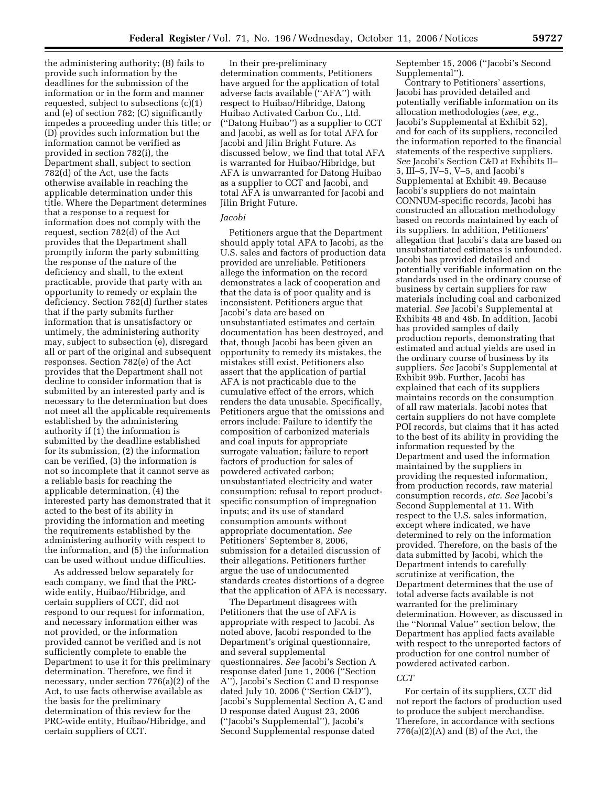the administering authority; (B) fails to provide such information by the deadlines for the submission of the information or in the form and manner requested, subject to subsections (c)(1) and (e) of section 782; (C) significantly impedes a proceeding under this title; or (D) provides such information but the information cannot be verified as provided in section 782(i), the Department shall, subject to section 782(d) of the Act, use the facts otherwise available in reaching the applicable determination under this title. Where the Department determines that a response to a request for information does not comply with the request, section 782(d) of the Act provides that the Department shall promptly inform the party submitting the response of the nature of the deficiency and shall, to the extent practicable, provide that party with an opportunity to remedy or explain the deficiency. Section 782(d) further states that if the party submits further information that is unsatisfactory or untimely, the administering authority may, subject to subsection (e), disregard all or part of the original and subsequent responses. Section 782(e) of the Act provides that the Department shall not decline to consider information that is submitted by an interested party and is necessary to the determination but does not meet all the applicable requirements established by the administering authority if (1) the information is submitted by the deadline established for its submission, (2) the information can be verified, (3) the information is not so incomplete that it cannot serve as a reliable basis for reaching the applicable determination,  $\overline{4}$ ) the interested party has demonstrated that it acted to the best of its ability in providing the information and meeting the requirements established by the administering authority with respect to the information, and (5) the information can be used without undue difficulties.

As addressed below separately for each company, we find that the PRCwide entity, Huibao/Hibridge, and certain suppliers of CCT, did not respond to our request for information, and necessary information either was not provided, or the information provided cannot be verified and is not sufficiently complete to enable the Department to use it for this preliminary determination. Therefore, we find it necessary, under section 776(a)(2) of the Act, to use facts otherwise available as the basis for the preliminary determination of this review for the PRC-wide entity, Huibao/Hibridge, and certain suppliers of CCT.

In their pre-preliminary determination comments, Petitioners have argued for the application of total adverse facts available (''AFA'') with respect to Huibao/Hibridge, Datong Huibao Activated Carbon Co., Ltd. (''Datong Huibao'') as a supplier to CCT and Jacobi, as well as for total AFA for Jacobi and Jilin Bright Future. As discussed below, we find that total AFA is warranted for Huibao/Hibridge, but AFA is unwarranted for Datong Huibao as a supplier to CCT and Jacobi, and total AFA is unwarranted for Jacobi and Jilin Bright Future.

## *Jacobi*

Petitioners argue that the Department should apply total AFA to Jacobi, as the U.S. sales and factors of production data provided are unreliable. Petitioners allege the information on the record demonstrates a lack of cooperation and that the data is of poor quality and is inconsistent. Petitioners argue that Jacobi's data are based on unsubstantiated estimates and certain documentation has been destroyed, and that, though Jacobi has been given an opportunity to remedy its mistakes, the mistakes still exist. Petitioners also assert that the application of partial AFA is not practicable due to the cumulative effect of the errors, which renders the data unusable. Specifically, Petitioners argue that the omissions and errors include: Failure to identify the composition of carbonized materials and coal inputs for appropriate surrogate valuation; failure to report factors of production for sales of powdered activated carbon; unsubstantiated electricity and water consumption; refusal to report productspecific consumption of impregnation inputs; and its use of standard consumption amounts without appropriate documentation. *See*  Petitioners' September 8, 2006, submission for a detailed discussion of their allegations. Petitioners further argue the use of undocumented standards creates distortions of a degree that the application of AFA is necessary.

The Department disagrees with Petitioners that the use of AFA is appropriate with respect to Jacobi. As noted above, Jacobi responded to the Department's original questionnaire, and several supplemental questionnaires. *See* Jacobi's Section A response dated June 1, 2006 (''Section A''), Jacobi's Section C and D response dated July 10, 2006 (''Section C&D''), Jacobi's Supplemental Section A, C and D response dated August 23, 2006 (''Jacobi's Supplemental''), Jacobi's Second Supplemental response dated

September 15, 2006 (''Jacobi's Second Supplemental'').

Contrary to Petitioners' assertions, Jacobi has provided detailed and potentially verifiable information on its allocation methodologies (*see*, *e.g.*, Jacobi's Supplemental at Exhibit 52), and for each of its suppliers, reconciled the information reported to the financial statements of the respective suppliers. *See* Jacobi's Section C&D at Exhibits II– 5, III–5, IV–5, V–5, and Jacobi's Supplemental at Exhibit 49. Because Jacobi's suppliers do not maintain CONNUM-specific records, Jacobi has constructed an allocation methodology based on records maintained by each of its suppliers. In addition, Petitioners' allegation that Jacobi's data are based on unsubstantiated estimates is unfounded. Jacobi has provided detailed and potentially verifiable information on the standards used in the ordinary course of business by certain suppliers for raw materials including coal and carbonized material. *See* Jacobi's Supplemental at Exhibits 48 and 48b. In addition, Jacobi has provided samples of daily production reports, demonstrating that estimated and actual yields are used in the ordinary course of business by its suppliers. *See* Jacobi's Supplemental at Exhibit 99b. Further, Jacobi has explained that each of its suppliers maintains records on the consumption of all raw materials. Jacobi notes that certain suppliers do not have complete POI records, but claims that it has acted to the best of its ability in providing the information requested by the Department and used the information maintained by the suppliers in providing the requested information, from production records, raw material consumption records, *etc. See* Jacobi's Second Supplemental at 11. With respect to the U.S. sales information, except where indicated, we have determined to rely on the information provided. Therefore, on the basis of the data submitted by Jacobi, which the Department intends to carefully scrutinize at verification, the Department determines that the use of total adverse facts available is not warranted for the preliminary determination. However, as discussed in the ''Normal Value'' section below, the Department has applied facts available with respect to the unreported factors of production for one control number of powdered activated carbon.

### *CCT*

For certain of its suppliers, CCT did not report the factors of production used to produce the subject merchandise. Therefore, in accordance with sections  $776(a)(2)(A)$  and  $(B)$  of the Act, the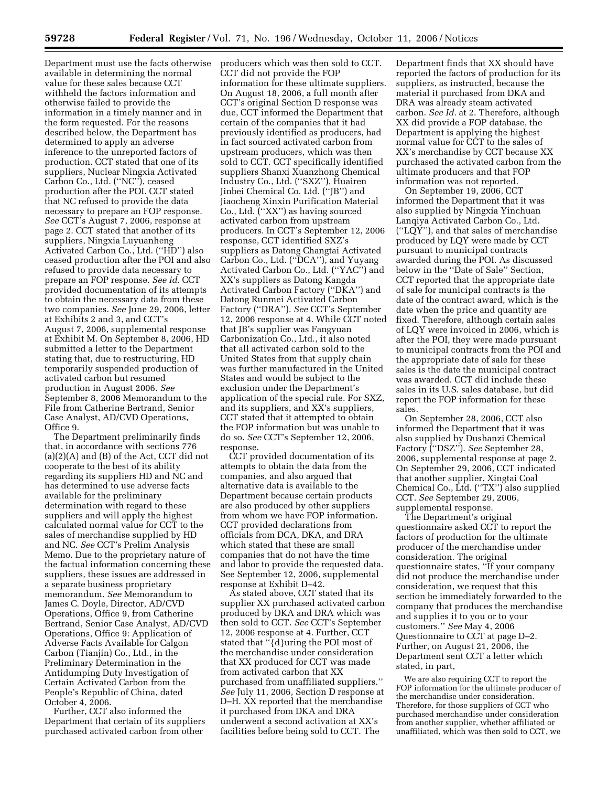Department must use the facts otherwise available in determining the normal value for these sales because CCT withheld the factors information and otherwise failed to provide the information in a timely manner and in the form requested. For the reasons described below, the Department has determined to apply an adverse inference to the unreported factors of production. CCT stated that one of its suppliers, Nuclear Ningxia Activated Carbon Co., Ltd. (''NC''), ceased production after the POI. CCT stated that NC refused to provide the data necessary to prepare an FOP response. *See* CCT's August 7, 2006, response at page 2. CCT stated that another of its suppliers, Ningxia Luyuanheng Activated Carbon Co., Ltd. (''HD'') also ceased production after the POI and also refused to provide data necessary to prepare an FOP response. *See id.* CCT provided documentation of its attempts to obtain the necessary data from these two companies. *See* June 29, 2006, letter at Exhibits 2 and 3, and CCT's August 7, 2006, supplemental response at Exhibit M. On September 8, 2006, HD submitted a letter to the Department stating that, due to restructuring, HD temporarily suspended production of activated carbon but resumed production in August 2006. *See*  September 8, 2006 Memorandum to the File from Catherine Bertrand, Senior Case Analyst, AD/CVD Operations, Office 9.

The Department preliminarily finds that, in accordance with sections 776 (a)(2)(A) and (B) of the Act, CCT did not cooperate to the best of its ability regarding its suppliers HD and NC and has determined to use adverse facts available for the preliminary determination with regard to these suppliers and will apply the highest calculated normal value for CCT to the sales of merchandise supplied by HD and NC. *See* CCT's Prelim Analysis Memo. Due to the proprietary nature of the factual information concerning these suppliers, these issues are addressed in a separate business proprietary memorandum. *See* Memorandum to James C. Doyle, Director, AD/CVD Operations, Office 9, from Catherine Bertrand, Senior Case Analyst, AD/CVD Operations, Office 9: Application of Adverse Facts Available for Calgon Carbon (Tianjin) Co., Ltd., in the Preliminary Determination in the Antidumping Duty Investigation of Certain Activated Carbon from the People's Republic of China, dated October 4, 2006.

Further, CCT also informed the Department that certain of its suppliers purchased activated carbon from other

producers which was then sold to CCT. CCT did not provide the FOP information for these ultimate suppliers. On August 18, 2006, a full month after CCT's original Section D response was due, CCT informed the Department that certain of the companies that it had previously identified as producers, had in fact sourced activated carbon from upstream producers, which was then sold to CCT. CCT specifically identified suppliers Shanxi Xuanzhong Chemical Industry Co., Ltd. (''SXZ''), Huairen Jinbei Chemical Co. Ltd. (''JB'') and Jiaocheng Xinxin Purification Material Co., Ltd. (''XX'') as having sourced activated carbon from upstream producers. In CCT's September 12, 2006 response, CCT identified SXZ's suppliers as Datong Changtai Activated Carbon Co., Ltd. (''DCA''), and Yuyang Activated Carbon Co., Ltd. (''YAC'') and XX's suppliers as Datong Kangda Activated Carbon Factory (''DKA'') and Datong Runmei Activated Carbon Factory (''DRA''). *See* CCT's September 12, 2006 response at 4. While CCT noted that JB's supplier was Fangyuan Carbonization Co., Ltd., it also noted that all activated carbon sold to the United States from that supply chain was further manufactured in the United States and would be subject to the exclusion under the Department's application of the special rule. For SXZ, and its suppliers, and XX's suppliers, CCT stated that it attempted to obtain the FOP information but was unable to do so. *See* CCT's September 12, 2006, response.

CCT provided documentation of its attempts to obtain the data from the companies, and also argued that alternative data is available to the Department because certain products are also produced by other suppliers from whom we have FOP information. CCT provided declarations from officials from DCA, DKA, and DRA which stated that these are small companies that do not have the time and labor to provide the requested data. See September 12, 2006, supplemental response at Exhibit D–42.

As stated above, CCT stated that its supplier XX purchased activated carbon produced by DKA and DRA which was then sold to CCT. *See* CCT's September 12, 2006 response at 4. Further, CCT stated that ''{d}uring the POI most of the merchandise under consideration that XX produced for CCT was made from activated carbon that XX purchased from unaffiliated suppliers.'' *See* July 11, 2006, Section D response at D–H. XX reported that the merchandise it purchased from DKA and DRA underwent a second activation at XX's facilities before being sold to CCT. The

Department finds that XX should have reported the factors of production for its suppliers, as instructed, because the material it purchased from DKA and DRA was already steam activated carbon. *See Id.* at 2. Therefore, although XX did provide a FOP database, the Department is applying the highest normal value for CCT to the sales of XX's merchandise by CCT because XX purchased the activated carbon from the ultimate producers and that FOP information was not reported.

On September 19, 2006, CCT informed the Department that it was also supplied by Ningxia Yinchuan Lanqiya Activated Carbon Co., Ltd. (''LQY''), and that sales of merchandise produced by LQY were made by CCT pursuant to municipal contracts awarded during the POI. As discussed below in the ''Date of Sale'' Section, CCT reported that the appropriate date of sale for municipal contracts is the date of the contract award, which is the date when the price and quantity are fixed. Therefore, although certain sales of LQY were invoiced in 2006, which is after the POI, they were made pursuant to municipal contracts from the POI and the appropriate date of sale for these sales is the date the municipal contract was awarded. CCT did include these sales in its U.S. sales database, but did report the FOP information for these sales.

On September 28, 2006, CCT also informed the Department that it was also supplied by Dushanzi Chemical Factory (''DSZ''). *See* September 28, 2006, supplemental response at page 2. On September 29, 2006, CCT indicated that another supplier, Xingtai Coal Chemical Co., Ltd. (''TX'') also supplied CCT. *See* September 29, 2006, supplemental response.

The Department's original questionnaire asked CCT to report the factors of production for the ultimate producer of the merchandise under consideration. The original questionnaire states, ''If your company did not produce the merchandise under consideration, we request that this section be immediately forwarded to the company that produces the merchandise and supplies it to you or to your customers.'' *See* May 4, 2006 Questionnaire to CCT at page D–2. Further, on August 21, 2006, the Department sent CCT a letter which stated, in part,

We are also requiring CCT to report the FOP information for the ultimate producer of the merchandise under consideration. Therefore, for those suppliers of CCT who purchased merchandise under consideration from another supplier, whether affiliated or unaffiliated, which was then sold to CCT, we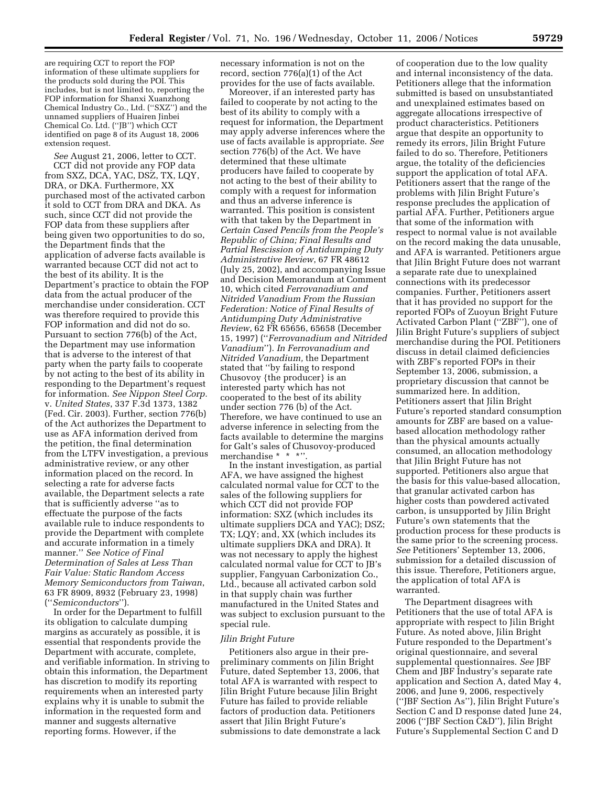are requiring CCT to report the FOP information of these ultimate suppliers for the products sold during the POI. This includes, but is not limited to, reporting the FOP information for Shanxi Xuanzhong Chemical Industry Co., Ltd. (''SXZ'') and the unnamed suppliers of Huairen Jinbei Chemical Co. Ltd. (''JB'') which CCT identified on page 8 of its August 18, 2006 extension request.

*See* August 21, 2006, letter to CCT. CCT did not provide any FOP data from SXZ, DCA, YAC, DSZ, TX, LQY, DRA, or DKA. Furthermore, XX purchased most of the activated carbon it sold to CCT from DRA and DKA. As such, since CCT did not provide the FOP data from these suppliers after being given two opportunities to do so, the Department finds that the application of adverse facts available is warranted because CCT did not act to the best of its ability. It is the Department's practice to obtain the FOP data from the actual producer of the merchandise under consideration. CCT was therefore required to provide this FOP information and did not do so. Pursuant to section 776(b) of the Act, the Department may use information that is adverse to the interest of that party when the party fails to cooperate by not acting to the best of its ability in responding to the Department's request for information. *See Nippon Steel Corp.*  v. *United States*, 337 F.3d 1373, 1382 (Fed. Cir. 2003). Further, section 776(b) of the Act authorizes the Department to use as AFA information derived from the petition, the final determination from the LTFV investigation, a previous administrative review, or any other information placed on the record. In selecting a rate for adverse facts available, the Department selects a rate that is sufficiently adverse ''as to effectuate the purpose of the facts available rule to induce respondents to provide the Department with complete and accurate information in a timely manner.'' *See Notice of Final Determination of Sales at Less Than Fair Value: Static Random Access Memory Semiconductors from Taiwan*, 63 FR 8909, 8932 (February 23, 1998) (''*Semiconductors*'').

In order for the Department to fulfill its obligation to calculate dumping margins as accurately as possible, it is essential that respondents provide the Department with accurate, complete, and verifiable information. In striving to obtain this information, the Department has discretion to modify its reporting requirements when an interested party explains why it is unable to submit the information in the requested form and manner and suggests alternative reporting forms. However, if the

necessary information is not on the record, section 776(a)(1) of the Act provides for the use of facts available.

Moreover, if an interested party has failed to cooperate by not acting to the best of its ability to comply with a request for information, the Department may apply adverse inferences where the use of facts available is appropriate. *See*  section 776(b) of the Act. We have determined that these ultimate producers have failed to cooperate by not acting to the best of their ability to comply with a request for information and thus an adverse inference is warranted. This position is consistent with that taken by the Department in *Certain Cased Pencils from the People's Republic of China; Final Results and Partial Rescission of Antidumping Duty Administrative Review*, 67 FR 48612 (July 25, 2002), and accompanying Issue and Decision Memorandum at Comment 10, which cited *Ferrovanadium and Nitrided Vanadium From the Russian Federation: Notice of Final Results of Antidumping Duty Administrative Review*, 62 FR 65656, 65658 (December 15, 1997) (''*Ferrovanadium and Nitrided Vanadium*''). *In Ferrovanadium and Nitrided Vanadium,* the Department stated that ''by failing to respond Chusovoy {the producer} is an interested party which has not cooperated to the best of its ability under section 776 (b) of the Act. Therefore, we have continued to use an adverse inference in selecting from the facts available to determine the margins for Galt's sales of Chusovoy-produced merchandise \* \* \*''.

In the instant investigation, as partial AFA, we have assigned the highest calculated normal value for CCT to the sales of the following suppliers for which CCT did not provide FOP information: SXZ (which includes its ultimate suppliers DCA and YAC); DSZ; TX; LQY; and, XX (which includes its ultimate suppliers DKA and DRA). It was not necessary to apply the highest calculated normal value for CCT to JB's supplier, Fangyuan Carbonization Co., Ltd., because all activated carbon sold in that supply chain was further manufactured in the United States and was subject to exclusion pursuant to the special rule.

### *Jilin Bright Future*

Petitioners also argue in their prepreliminary comments on Jilin Bright Future, dated September 13, 2006, that total AFA is warranted with respect to Jilin Bright Future because Jilin Bright Future has failed to provide reliable factors of production data. Petitioners assert that Jilin Bright Future's submissions to date demonstrate a lack

of cooperation due to the low quality and internal inconsistency of the data. Petitioners allege that the information submitted is based on unsubstantiated and unexplained estimates based on aggregate allocations irrespective of product characteristics. Petitioners argue that despite an opportunity to remedy its errors, Jilin Bright Future failed to do so. Therefore, Petitioners argue, the totality of the deficiencies support the application of total AFA. Petitioners assert that the range of the problems with Jilin Bright Future's response precludes the application of partial AFA. Further, Petitioners argue that some of the information with respect to normal value is not available on the record making the data unusable, and AFA is warranted. Petitioners argue that Jilin Bright Future does not warrant a separate rate due to unexplained connections with its predecessor companies. Further, Petitioners assert that it has provided no support for the reported FOPs of Zuoyun Bright Future Activated Carbon Plant (''ZBF''), one of Jilin Bright Future's suppliers of subject merchandise during the POI. Petitioners discuss in detail claimed deficiencies with ZBF's reported FOPs in their September 13, 2006, submission, a proprietary discussion that cannot be summarized here. In addition, Petitioners assert that Jilin Bright Future's reported standard consumption amounts for ZBF are based on a valuebased allocation methodology rather than the physical amounts actually consumed, an allocation methodology that Jilin Bright Future has not supported. Petitioners also argue that the basis for this value-based allocation, that granular activated carbon has higher costs than powdered activated carbon, is unsupported by Jilin Bright Future's own statements that the production process for these products is the same prior to the screening process. *See* Petitioners' September 13, 2006, submission for a detailed discussion of this issue. Therefore, Petitioners argue, the application of total AFA is warranted.

The Department disagrees with Petitioners that the use of total AFA is appropriate with respect to Jilin Bright Future. As noted above, Jilin Bright Future responded to the Department's original questionnaire, and several supplemental questionnaires. *See* JBF Chem and JBF Industry's separate rate application and Section A, dated May 4, 2006, and June 9, 2006, respectively (''JBF Section As''), Jilin Bright Future's Section C and D response dated June 24, 2006 (''JBF Section C&D''), Jilin Bright Future's Supplemental Section C and D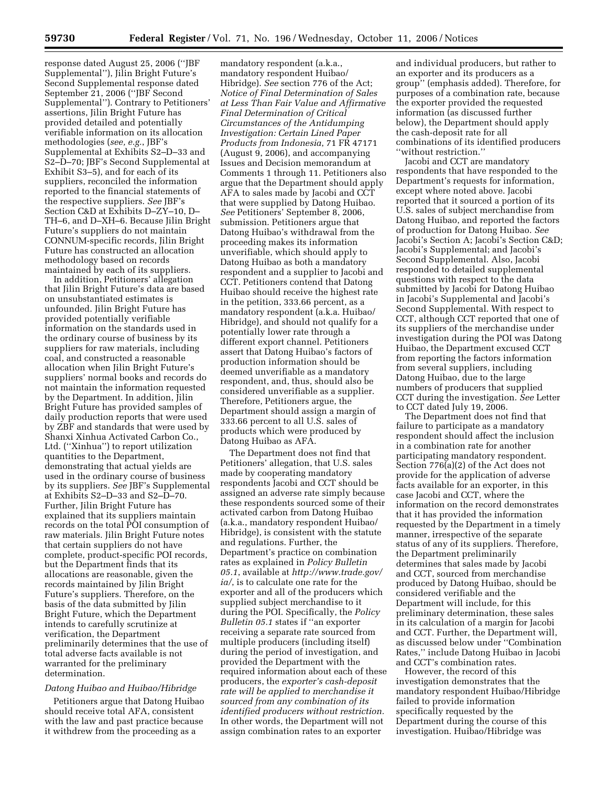response dated August 25, 2006 (''JBF Supplemental''), Jilin Bright Future's Second Supplemental response dated September 21, 2006 (''JBF Second Supplemental''). Contrary to Petitioners' assertions, Jilin Bright Future has provided detailed and potentially verifiable information on its allocation methodologies (*see, e.g.*, JBF's Supplemental at Exhibits S2–D–33 and S2–D–70; JBF's Second Supplemental at Exhibit S3–5), and for each of its suppliers, reconciled the information reported to the financial statements of the respective suppliers. *See* JBF's Section C&D at Exhibits D–ZY–10, D– TH–6, and D–XH–6. Because Jilin Bright Future's suppliers do not maintain CONNUM-specific records, Jilin Bright Future has constructed an allocation methodology based on records maintained by each of its suppliers.

In addition, Petitioners' allegation that Jilin Bright Future's data are based on unsubstantiated estimates is unfounded. Jilin Bright Future has provided potentially verifiable information on the standards used in the ordinary course of business by its suppliers for raw materials, including coal, and constructed a reasonable allocation when Jilin Bright Future's suppliers' normal books and records do not maintain the information requested by the Department. In addition, Jilin Bright Future has provided samples of daily production reports that were used by ZBF and standards that were used by Shanxi Xinhua Activated Carbon Co., Ltd. (''Xinhua'') to report utilization quantities to the Department, demonstrating that actual yields are used in the ordinary course of business by its suppliers. *See* JBF's Supplemental at Exhibits S2–D–33 and S2–D–70. Further, Jilin Bright Future has explained that its suppliers maintain records on the total POI consumption of raw materials. Jilin Bright Future notes that certain suppliers do not have complete, product-specific POI records, but the Department finds that its allocations are reasonable, given the records maintained by Jilin Bright Future's suppliers. Therefore, on the basis of the data submitted by Jilin Bright Future, which the Department intends to carefully scrutinize at verification, the Department preliminarily determines that the use of total adverse facts available is not warranted for the preliminary determination.

## *Datong Huibao and Huibao/Hibridge*

Petitioners argue that Datong Huibao should receive total AFA, consistent with the law and past practice because it withdrew from the proceeding as a

mandatory respondent (a.k.a., mandatory respondent Huibao/ Hibridge). *See* section 776 of the Act; *Notice of Final Determination of Sales at Less Than Fair Value and Affirmative Final Determination of Critical Circumstances of the Antidumping Investigation: Certain Lined Paper Products from Indonesia*, 71 FR 47171 (August 9, 2006), and accompanying Issues and Decision memorandum at Comments 1 through 11. Petitioners also argue that the Department should apply AFA to sales made by Jacobi and CCT that were supplied by Datong Huibao. *See* Petitioners' September 8, 2006, submission. Petitioners argue that Datong Huibao's withdrawal from the proceeding makes its information unverifiable, which should apply to Datong Huibao as both a mandatory respondent and a supplier to Jacobi and CCT. Petitioners contend that Datong Huibao should receive the highest rate in the petition, 333.66 percent, as a mandatory respondent (a.k.a. Huibao/ Hibridge), and should not qualify for a potentially lower rate through a different export channel. Petitioners assert that Datong Huibao's factors of production information should be deemed unverifiable as a mandatory respondent, and, thus, should also be considered unverifiable as a supplier. Therefore, Petitioners argue, the Department should assign a margin of 333.66 percent to all U.S. sales of products which were produced by Datong Huibao as AFA.

The Department does not find that Petitioners' allegation, that U.S. sales made by cooperating mandatory respondents Jacobi and CCT should be assigned an adverse rate simply because these respondents sourced some of their activated carbon from Datong Huibao (a.k.a., mandatory respondent Huibao/ Hibridge), is consistent with the statute and regulations. Further, the Department's practice on combination rates as explained in *Policy Bulletin 05.1*, available at *http://www.trade.gov/ ia/*, is to calculate one rate for the exporter and all of the producers which supplied subject merchandise to it during the POI. Specifically, the *Policy Bulletin 05.1* states if ''an exporter receiving a separate rate sourced from multiple producers (including itself) during the period of investigation, and provided the Department with the required information about each of these producers, the *exporter's cash-deposit rate will be applied to merchandise it sourced from any combination of its identified producers without restriction.*  In other words, the Department will not assign combination rates to an exporter

and individual producers, but rather to an exporter and its producers as a group'' (emphasis added). Therefore, for purposes of a combination rate, because the exporter provided the requested information (as discussed further below), the Department should apply the cash-deposit rate for all combinations of its identified producers ''without restriction.''

Jacobi and CCT are mandatory respondents that have responded to the Department's requests for information, except where noted above. Jacobi reported that it sourced a portion of its U.S. sales of subject merchandise from Datong Huibao, and reported the factors of production for Datong Huibao. *See*  Jacobi's Section A; Jacobi's Section C&D; Jacobi's Supplemental; and Jacobi's Second Supplemental. Also, Jacobi responded to detailed supplemental questions with respect to the data submitted by Jacobi for Datong Huibao in Jacobi's Supplemental and Jacobi's Second Supplemental. With respect to CCT, although CCT reported that one of its suppliers of the merchandise under investigation during the POI was Datong Huibao, the Department excused CCT from reporting the factors information from several suppliers, including Datong Huibao, due to the large numbers of producers that supplied CCT during the investigation. *See* Letter to CCT dated July 19, 2006.

The Department does not find that failure to participate as a mandatory respondent should affect the inclusion in a combination rate for another participating mandatory respondent. Section 776(a)(2) of the Act does not provide for the application of adverse facts available for an exporter, in this case Jacobi and CCT, where the information on the record demonstrates that it has provided the information requested by the Department in a timely manner, irrespective of the separate status of any of its suppliers. Therefore, the Department preliminarily determines that sales made by Jacobi and CCT, sourced from merchandise produced by Datong Huibao, should be considered verifiable and the Department will include, for this preliminary determination, these sales in its calculation of a margin for Jacobi and CCT. Further, the Department will, as discussed below under ''Combination Rates,'' include Datong Huibao in Jacobi and CCT's combination rates.

However, the record of this investigation demonstrates that the mandatory respondent Huibao/Hibridge failed to provide information specifically requested by the Department during the course of this investigation. Huibao/Hibridge was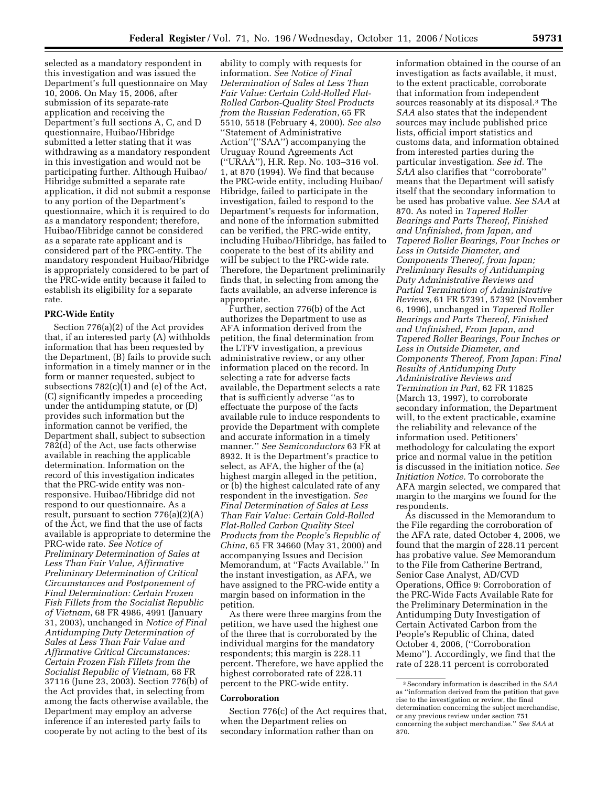selected as a mandatory respondent in this investigation and was issued the Department's full questionnaire on May 10, 2006. On May 15, 2006, after submission of its separate-rate application and receiving the Department's full sections A, C, and D questionnaire, Huibao/Hibridge submitted a letter stating that it was withdrawing as a mandatory respondent in this investigation and would not be participating further. Although Huibao/ Hibridge submitted a separate rate application, it did not submit a response to any portion of the Department's questionnaire, which it is required to do as a mandatory respondent; therefore, Huibao/Hibridge cannot be considered as a separate rate applicant and is considered part of the PRC-entity. The mandatory respondent Huibao/Hibridge is appropriately considered to be part of the PRC-wide entity because it failed to establish its eligibility for a separate rate.

## **PRC-Wide Entity**

Section 776(a)(2) of the Act provides that, if an interested party (A) withholds information that has been requested by the Department, (B) fails to provide such information in a timely manner or in the form or manner requested, subject to subsections 782(c)(1) and (e) of the Act, (C) significantly impedes a proceeding under the antidumping statute, or (D) provides such information but the information cannot be verified, the Department shall, subject to subsection 782(d) of the Act, use facts otherwise available in reaching the applicable determination. Information on the record of this investigation indicates that the PRC-wide entity was nonresponsive. Huibao/Hibridge did not respond to our questionnaire. As a result, pursuant to section 776(a)(2)(A) of the Act, we find that the use of facts available is appropriate to determine the PRC-wide rate. *See Notice of Preliminary Determination of Sales at Less Than Fair Value, Affirmative Preliminary Determination of Critical Circumstances and Postponement of Final Determination: Certain Frozen Fish Fillets from the Socialist Republic of Vietnam*, 68 FR 4986, 4991 (January 31, 2003), unchanged in *Notice of Final Antidumping Duty Determination of Sales at Less Than Fair Value and Affirmative Critical Circumstances: Certain Frozen Fish Fillets from the Socialist Republic of Vietnam*, 68 FR 37116 (June 23, 2003). Section 776(b) of the Act provides that, in selecting from among the facts otherwise available, the Department may employ an adverse inference if an interested party fails to cooperate by not acting to the best of its

ability to comply with requests for information. *See Notice of Final Determination of Sales at Less Than Fair Value: Certain Cold-Rolled Flat-Rolled Carbon-Quality Steel Products from the Russian Federation*, 65 FR 5510, 5518 (February 4, 2000). *See also*  ''Statement of Administrative Action''(''SAA'') accompanying the Uruguay Round Agreements Act (''URAA''), H.R. Rep. No. 103–316 vol. 1, at 870 (1994). We find that because the PRC-wide entity, including Huibao/ Hibridge, failed to participate in the investigation, failed to respond to the Department's requests for information, and none of the information submitted can be verified, the PRC-wide entity, including Huibao/Hibridge, has failed to cooperate to the best of its ability and will be subject to the PRC-wide rate. Therefore, the Department preliminarily finds that, in selecting from among the facts available, an adverse inference is appropriate.

Further, section 776(b) of the Act authorizes the Department to use as AFA information derived from the petition, the final determination from the LTFV investigation, a previous administrative review, or any other information placed on the record. In selecting a rate for adverse facts available, the Department selects a rate that is sufficiently adverse ''as to effectuate the purpose of the facts available rule to induce respondents to provide the Department with complete and accurate information in a timely manner.'' *See Semiconductors* 63 FR at 8932. It is the Department's practice to select, as AFA, the higher of the (a) highest margin alleged in the petition, or (b) the highest calculated rate of any respondent in the investigation. *See Final Determination of Sales at Less Than Fair Value: Certain Cold-Rolled Flat-Rolled Carbon Quality Steel Products from the People's Republic of China*, 65 FR 34660 (May 31, 2000) and accompanying Issues and Decision Memorandum, at ''Facts Available.'' In the instant investigation, as AFA, we have assigned to the PRC-wide entity a margin based on information in the petition.

As there were three margins from the petition, we have used the highest one of the three that is corroborated by the individual margins for the mandatory respondents; this margin is 228.11 percent. Therefore, we have applied the highest corroborated rate of 228.11 percent to the PRC-wide entity.

### **Corroboration**

Section 776(c) of the Act requires that, when the Department relies on secondary information rather than on

information obtained in the course of an investigation as facts available, it must, to the extent practicable, corroborate that information from independent sources reasonably at its disposal.3 The *SAA* also states that the independent sources may include published price lists, official import statistics and customs data, and information obtained from interested parties during the particular investigation. *See id.* The *SAA* also clarifies that ''corroborate'' means that the Department will satisfy itself that the secondary information to be used has probative value. *See SAA* at 870. As noted in *Tapered Roller Bearings and Parts Thereof, Finished and Unfinished, from Japan, and Tapered Roller Bearings, Four Inches or Less in Outside Diameter, and Components Thereof, from Japan; Preliminary Results of Antidumping Duty Administrative Reviews and Partial Termination of Administrative Reviews*, 61 FR 57391, 57392 (November 6, 1996), unchanged in *Tapered Roller Bearings and Parts Thereof, Finished and Unfinished, From Japan, and Tapered Roller Bearings, Four Inches or Less in Outside Diameter, and Components Thereof, From Japan: Final Results of Antidumping Duty Administrative Reviews and Termination in Part*, 62 FR 11825 (March 13, 1997), to corroborate secondary information, the Department will, to the extent practicable, examine the reliability and relevance of the information used. Petitioners' methodology for calculating the export price and normal value in the petition is discussed in the initiation notice. *See Initiation Notice.* To corroborate the AFA margin selected, we compared that margin to the margins we found for the respondents.

As discussed in the Memorandum to the File regarding the corroboration of the AFA rate, dated October 4, 2006, we found that the margin of 228.11 percent has probative value. *See* Memorandum to the File from Catherine Bertrand, Senior Case Analyst, AD/CVD Operations, Office 9: Corroboration of the PRC-Wide Facts Available Rate for the Preliminary Determination in the Antidumping Duty Investigation of Certain Activated Carbon from the People's Republic of China, dated October 4, 2006, (''Corroboration Memo''). Accordingly, we find that the rate of 228.11 percent is corroborated

<sup>3</sup>Secondary information is described in the *SAA*  as ''information derived from the petition that gave rise to the investigation or review, the final determination concerning the subject merchandise, or any previous review under section 751 concerning the subject merchandise.'' *See SAA* at 870.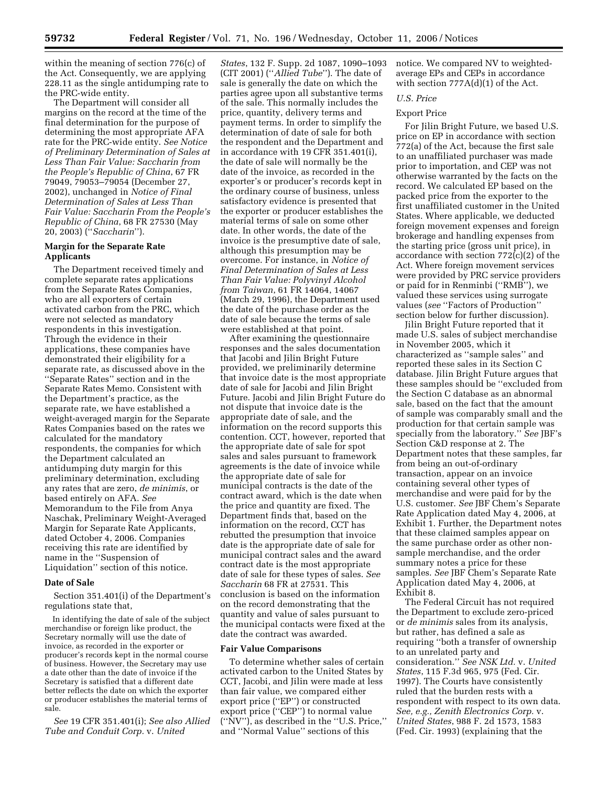within the meaning of section 776(c) of the Act. Consequently, we are applying 228.11 as the single antidumping rate to the PRC-wide entity.

The Department will consider all margins on the record at the time of the final determination for the purpose of determining the most appropriate AFA rate for the PRC-wide entity. *See Notice of Preliminary Determination of Sales at Less Than Fair Value: Saccharin from the People's Republic of China*, 67 FR 79049, 79053–79054 (December 27, 2002), unchanged in *Notice of Final Determination of Sales at Less Than Fair Value: Saccharin From the People's Republic of China*, 68 FR 27530 (May 20, 2003) (''*Saccharin*'').

## **Margin for the Separate Rate Applicants**

The Department received timely and complete separate rates applications from the Separate Rates Companies, who are all exporters of certain activated carbon from the PRC, which were not selected as mandatory respondents in this investigation. Through the evidence in their applications, these companies have demonstrated their eligibility for a separate rate, as discussed above in the ''Separate Rates'' section and in the Separate Rates Memo. Consistent with the Department's practice, as the separate rate, we have established a weight-averaged margin for the Separate Rates Companies based on the rates we calculated for the mandatory respondents, the companies for which the Department calculated an antidumping duty margin for this preliminary determination, excluding any rates that are zero, *de minimis*, or based entirely on AFA. *See*  Memorandum to the File from Anya Naschak, Preliminary Weight-Averaged Margin for Separate Rate Applicants, dated October 4, 2006. Companies receiving this rate are identified by name in the ''Suspension of Liquidation'' section of this notice.

### **Date of Sale**

Section 351.401(i) of the Department's regulations state that,

In identifying the date of sale of the subject merchandise or foreign like product, the Secretary normally will use the date of invoice, as recorded in the exporter or producer's records kept in the normal course of business. However, the Secretary may use a date other than the date of invoice if the Secretary is satisfied that a different date better reflects the date on which the exporter or producer establishes the material terms of sale.

*See* 19 CFR 351.401(i); *See also Allied Tube and Conduit Corp.* v. *United* 

*States*, 132 F. Supp. 2d 1087, 1090–1093 (CIT 2001) (''*Allied Tube*''). The date of sale is generally the date on which the parties agree upon all substantive terms of the sale. This normally includes the price, quantity, delivery terms and payment terms. In order to simplify the determination of date of sale for both the respondent and the Department and in accordance with 19 CFR 351.401(i), the date of sale will normally be the date of the invoice, as recorded in the exporter's or producer's records kept in the ordinary course of business, unless satisfactory evidence is presented that the exporter or producer establishes the material terms of sale on some other date. In other words, the date of the invoice is the presumptive date of sale, although this presumption may be overcome. For instance, in *Notice of Final Determination of Sales at Less Than Fair Value: Polyvinyl Alcohol from Taiwan*, 61 FR 14064, 14067 (March 29, 1996), the Department used the date of the purchase order as the date of sale because the terms of sale were established at that point.

After examining the questionnaire responses and the sales documentation that Jacobi and Jilin Bright Future provided, we preliminarily determine that invoice date is the most appropriate date of sale for Jacobi and Jilin Bright Future. Jacobi and Jilin Bright Future do not dispute that invoice date is the appropriate date of sale, and the information on the record supports this contention. CCT, however, reported that the appropriate date of sale for spot sales and sales pursuant to framework agreements is the date of invoice while the appropriate date of sale for municipal contracts is the date of the contract award, which is the date when the price and quantity are fixed. The Department finds that, based on the information on the record, CCT has rebutted the presumption that invoice date is the appropriate date of sale for municipal contract sales and the award contract date is the most appropriate date of sale for these types of sales. *See Saccharin* 68 FR at 27531. This conclusion is based on the information on the record demonstrating that the quantity and value of sales pursuant to the municipal contacts were fixed at the date the contract was awarded.

#### **Fair Value Comparisons**

To determine whether sales of certain activated carbon to the United States by CCT, Jacobi, and Jilin were made at less than fair value, we compared either export price (''EP'') or constructed export price (''CEP'') to normal value (''NV''), as described in the ''U.S. Price,'' and ''Normal Value'' sections of this

notice. We compared NV to weightedaverage EPs and CEPs in accordance with section  $777A(d)(1)$  of the Act.

# *U.S. Price*

# Export Price

For Jilin Bright Future, we based U.S. price on EP in accordance with section 772(a) of the Act, because the first sale to an unaffiliated purchaser was made prior to importation, and CEP was not otherwise warranted by the facts on the record. We calculated EP based on the packed price from the exporter to the first unaffiliated customer in the United States. Where applicable, we deducted foreign movement expenses and foreign brokerage and handling expenses from the starting price (gross unit price), in accordance with section 772(c)(2) of the Act. Where foreign movement services were provided by PRC service providers or paid for in Renminbi (''RMB''), we valued these services using surrogate values (*see* ''Factors of Production'' section below for further discussion).

Jilin Bright Future reported that it made U.S. sales of subject merchandise in November 2005, which it characterized as ''sample sales'' and reported these sales in its Section C database. Jilin Bright Future argues that these samples should be ''excluded from the Section C database as an abnormal sale, based on the fact that the amount of sample was comparably small and the production for that certain sample was specially from the laboratory.'' *See* JBF's Section C&D response at 2. The Department notes that these samples, far from being an out-of-ordinary transaction, appear on an invoice containing several other types of merchandise and were paid for by the U.S. customer. *See* JBF Chem's Separate Rate Application dated May 4, 2006, at Exhibit 1. Further, the Department notes that these claimed samples appear on the same purchase order as other nonsample merchandise, and the order summary notes a price for these samples. *See* JBF Chem's Separate Rate Application dated May 4, 2006, at Exhibit 8.

The Federal Circuit has not required the Department to exclude zero-priced or *de minimis* sales from its analysis, but rather, has defined a sale as requiring ''both a transfer of ownership to an unrelated party and consideration.'' *See NSK Ltd.* v. *United States*, 115 F.3d 965, 975 (Fed. Cir. 1997). The Courts have consistently ruled that the burden rests with a respondent with respect to its own data. *See, e.g., Zenith Electronics Corp.* v. *United States*, 988 F. 2d 1573, 1583 (Fed. Cir. 1993) (explaining that the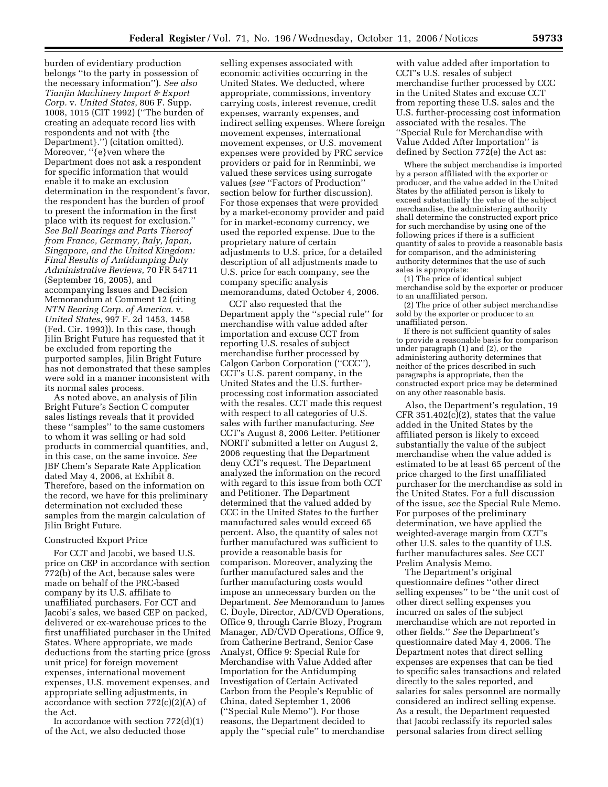burden of evidentiary production belongs ''to the party in possession of the necessary information''). *See also Tianjin Machinery Import & Export Corp.* v. *United States*, 806 F. Supp. 1008, 1015 (CIT 1992) (''The burden of creating an adequate record lies with respondents and not with {the Department}.'') (citation omitted). Moreover, ''{e}ven where the Department does not ask a respondent for specific information that would enable it to make an exclusion determination in the respondent's favor, the respondent has the burden of proof to present the information in the first place with its request for exclusion.'' *See Ball Bearings and Parts Thereof from France, Germany, Italy, Japan, Singapore, and the United Kingdom: Final Results of Antidumping Duty Administrative Reviews*, 70 FR 54711 (September 16, 2005), and accompanying Issues and Decision Memorandum at Comment 12 (citing *NTN Bearing Corp. of America*. v. *United States*, 997 F. 2d 1453, 1458 (Fed. Cir. 1993)). In this case, though Jilin Bright Future has requested that it be excluded from reporting the purported samples, Jilin Bright Future has not demonstrated that these samples were sold in a manner inconsistent with its normal sales process.

As noted above, an analysis of Jilin Bright Future's Section C computer sales listings reveals that it provided these ''samples'' to the same customers to whom it was selling or had sold products in commercial quantities, and, in this case, on the same invoice. *See*  JBF Chem's Separate Rate Application dated May 4, 2006, at Exhibit 8. Therefore, based on the information on the record, we have for this preliminary determination not excluded these samples from the margin calculation of Jilin Bright Future.

## Constructed Export Price

For CCT and Jacobi, we based U.S. price on CEP in accordance with section 772(b) of the Act, because sales were made on behalf of the PRC-based company by its U.S. affiliate to unaffiliated purchasers. For CCT and Jacobi's sales, we based CEP on packed, delivered or ex-warehouse prices to the first unaffiliated purchaser in the United States. Where appropriate, we made deductions from the starting price (gross unit price) for foreign movement expenses, international movement expenses, U.S. movement expenses, and appropriate selling adjustments, in accordance with section 772(c)(2)(A) of the Act.

In accordance with section  $772(d)(1)$ of the Act, we also deducted those

selling expenses associated with economic activities occurring in the United States. We deducted, where appropriate, commissions, inventory carrying costs, interest revenue, credit expenses, warranty expenses, and indirect selling expenses. Where foreign movement expenses, international movement expenses, or U.S. movement expenses were provided by PRC service providers or paid for in Renminbi, we valued these services using surrogate values (*see* ''Factors of Production'' section below for further discussion). For those expenses that were provided by a market-economy provider and paid for in market-economy currency, we used the reported expense. Due to the proprietary nature of certain adjustments to U.S. price, for a detailed description of all adjustments made to U.S. price for each company, see the company specific analysis memorandums, dated October 4, 2006.

CCT also requested that the Department apply the ''special rule'' for merchandise with value added after importation and excuse CCT from reporting U.S. resales of subject merchandise further processed by Calgon Carbon Corporation (''CCC''), CCT's U.S. parent company, in the United States and the U.S. furtherprocessing cost information associated with the resales. CCT made this request with respect to all categories of U.S. sales with further manufacturing. *See*  CCT's August 8, 2006 Letter. Petitioner NORIT submitted a letter on August 2, 2006 requesting that the Department deny CCT's request. The Department analyzed the information on the record with regard to this issue from both CCT and Petitioner. The Department determined that the valued added by CCC in the United States to the further manufactured sales would exceed 65 percent. Also, the quantity of sales not further manufactured was sufficient to provide a reasonable basis for comparison. Moreover, analyzing the further manufactured sales and the further manufacturing costs would impose an unnecessary burden on the Department. *See* Memorandum to James C. Doyle, Director, AD/CVD Operations, Office 9, through Carrie Blozy, Program Manager, AD/CVD Operations, Office 9, from Catherine Bertrand, Senior Case Analyst, Office 9: Special Rule for Merchandise with Value Added after Importation for the Antidumping Investigation of Certain Activated Carbon from the People's Republic of China, dated September 1, 2006 (''Special Rule Memo''). For those reasons, the Department decided to apply the ''special rule'' to merchandise

with value added after importation to CCT's U.S. resales of subject merchandise further processed by CCC in the United States and excuse CCT from reporting these U.S. sales and the U.S. further-processing cost information associated with the resales. The ''Special Rule for Merchandise with Value Added After Importation'' is defined by Section 772(e) the Act as:

Where the subject merchandise is imported by a person affiliated with the exporter or producer, and the value added in the United States by the affiliated person is likely to exceed substantially the value of the subject merchandise, the administering authority shall determine the constructed export price for such merchandise by using one of the following prices if there is a sufficient quantity of sales to provide a reasonable basis for comparison, and the administering authority determines that the use of such sales is appropriate:

(1) The price of identical subject merchandise sold by the exporter or producer to an unaffiliated person.

(2) The price of other subject merchandise sold by the exporter or producer to an unaffiliated person.

If there is not sufficient quantity of sales to provide a reasonable basis for comparison under paragraph (1) and (2), or the administering authority determines that neither of the prices described in such paragraphs is appropriate, then the constructed export price may be determined on any other reasonable basis.

Also, the Department's regulation, 19 CFR 351.402(c)(2), states that the value added in the United States by the affiliated person is likely to exceed substantially the value of the subject merchandise when the value added is estimated to be at least 65 percent of the price charged to the first unaffiliated purchaser for the merchandise as sold in the United States. For a full discussion of the issue, *see* the Special Rule Memo. For purposes of the preliminary determination, we have applied the weighted-average margin from CCT's other U.S. sales to the quantity of U.S. further manufactures sales. *See* CCT Prelim Analysis Memo.

The Department's original questionnaire defines ''other direct selling expenses'' to be ''the unit cost of other direct selling expenses you incurred on sales of the subject merchandise which are not reported in other fields.'' *See* the Department's questionnaire dated May 4, 2006. The Department notes that direct selling expenses are expenses that can be tied to specific sales transactions and related directly to the sales reported, and salaries for sales personnel are normally considered an indirect selling expense. As a result, the Department requested that Jacobi reclassify its reported sales personal salaries from direct selling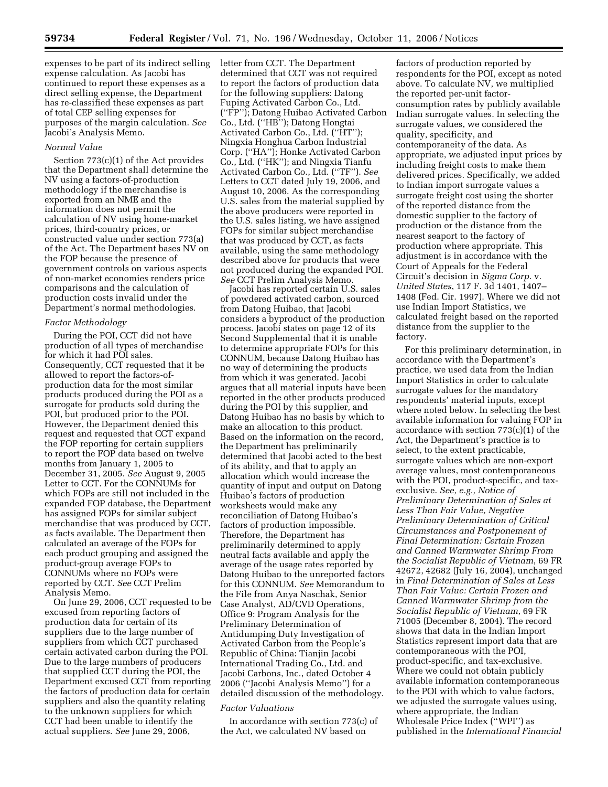expenses to be part of its indirect selling expense calculation. As Jacobi has continued to report these expenses as a direct selling expense, the Department has re-classified these expenses as part of total CEP selling expenses for purposes of the margin calculation. *See*  Jacobi's Analysis Memo.

## *Normal Value*

Section 773(c)(1) of the Act provides that the Department shall determine the NV using a factors-of-production methodology if the merchandise is exported from an NME and the information does not permit the calculation of NV using home-market prices, third-country prices, or constructed value under section 773(a) of the Act. The Department bases NV on the FOP because the presence of government controls on various aspects of non-market economies renders price comparisons and the calculation of production costs invalid under the Department's normal methodologies.

### *Factor Methodology*

During the POI, CCT did not have production of all types of merchandise for which it had POI sales. Consequently, CCT requested that it be allowed to report the factors-ofproduction data for the most similar products produced during the POI as a surrogate for products sold during the POI, but produced prior to the POI. However, the Department denied this request and requested that CCT expand the FOP reporting for certain suppliers to report the FOP data based on twelve months from January 1, 2005 to December 31, 2005. *See* August 9, 2005 Letter to CCT. For the CONNUMs for which FOPs are still not included in the expanded FOP database, the Department has assigned FOPs for similar subject merchandise that was produced by CCT, as facts available. The Department then calculated an average of the FOPs for each product grouping and assigned the product-group average FOPs to CONNUMs where no FOPs were reported by CCT. *See* CCT Prelim Analysis Memo.

On June 29, 2006, CCT requested to be excused from reporting factors of production data for certain of its suppliers due to the large number of suppliers from which CCT purchased certain activated carbon during the POI. Due to the large numbers of producers that supplied CCT during the POI, the Department excused CCT from reporting the factors of production data for certain suppliers and also the quantity relating to the unknown suppliers for which CCT had been unable to identify the actual suppliers. *See* June 29, 2006,

letter from CCT. The Department determined that CCT was not required to report the factors of production data for the following suppliers: Datong Fuping Activated Carbon Co., Ltd. (''FP''); Datong Huibao Activated Carbon Co., Ltd. (''HB''); Datong Hongtai Activated Carbon Co., Ltd. (''HT''); Ningxia Honghua Carbon Industrial Corp. (''HA''); Honke Activated Carbon Co., Ltd. (''HK''); and Ningxia Tianfu Activated Carbon Co., Ltd. (''TF''). *See*  Letters to CCT dated July 19, 2006, and August 10, 2006. As the corresponding U.S. sales from the material supplied by the above producers were reported in the U.S. sales listing, we have assigned FOPs for similar subject merchandise that was produced by CCT, as facts available, using the same methodology described above for products that were not produced during the expanded POI. *See* CCT Prelim Analysis Memo.

Jacobi has reported certain U.S. sales of powdered activated carbon, sourced from Datong Huibao, that Jacobi considers a byproduct of the production process. Jacobi states on page 12 of its Second Supplemental that it is unable to determine appropriate FOPs for this CONNUM, because Datong Huibao has no way of determining the products from which it was generated. Jacobi argues that all material inputs have been reported in the other products produced during the POI by this supplier, and Datong Huibao has no basis by which to make an allocation to this product. Based on the information on the record, the Department has preliminarily determined that Jacobi acted to the best of its ability, and that to apply an allocation which would increase the quantity of input and output on Datong Huibao's factors of production worksheets would make any reconciliation of Datong Huibao's factors of production impossible. Therefore, the Department has preliminarily determined to apply neutral facts available and apply the average of the usage rates reported by Datong Huibao to the unreported factors for this CONNUM. *See* Memorandum to the File from Anya Naschak, Senior Case Analyst, AD/CVD Operations, Office 9: Program Analysis for the Preliminary Determination of Antidumping Duty Investigation of Activated Carbon from the People's Republic of China: Tianjin Jacobi International Trading Co., Ltd. and Jacobi Carbons, Inc., dated October 4 2006 (''Jacobi Analysis Memo'') for a detailed discussion of the methodology.

### *Factor Valuations*

In accordance with section 773(c) of the Act, we calculated NV based on

factors of production reported by respondents for the POI, except as noted above. To calculate NV, we multiplied the reported per-unit factorconsumption rates by publicly available Indian surrogate values. In selecting the surrogate values, we considered the quality, specificity, and contemporaneity of the data. As appropriate, we adjusted input prices by including freight costs to make them delivered prices. Specifically, we added to Indian import surrogate values a surrogate freight cost using the shorter of the reported distance from the domestic supplier to the factory of production or the distance from the nearest seaport to the factory of production where appropriate. This adjustment is in accordance with the Court of Appeals for the Federal Circuit's decision in *Sigma Corp.* v. *United States*, 117 F. 3d 1401, 1407– 1408 (Fed. Cir. 1997). Where we did not use Indian Import Statistics, we calculated freight based on the reported distance from the supplier to the factory.

For this preliminary determination, in accordance with the Department's practice, we used data from the Indian Import Statistics in order to calculate surrogate values for the mandatory respondents' material inputs, except where noted below. In selecting the best available information for valuing FOP in accordance with section 773(c)(1) of the Act, the Department's practice is to select, to the extent practicable, surrogate values which are non-export average values, most contemporaneous with the POI, product-specific, and taxexclusive. *See, e.g., Notice of Preliminary Determination of Sales at Less Than Fair Value, Negative Preliminary Determination of Critical Circumstances and Postponement of Final Determination: Certain Frozen and Canned Warmwater Shrimp From the Socialist Republic of Vietnam*, 69 FR 42672, 42682 (July 16, 2004), unchanged in *Final Determination of Sales at Less Than Fair Value: Certain Frozen and Canned Warmwater Shrimp from the Socialist Republic of Vietnam*, 69 FR 71005 (December 8, 2004). The record shows that data in the Indian Import Statistics represent import data that are contemporaneous with the POI, product-specific, and tax-exclusive. Where we could not obtain publicly available information contemporaneous to the POI with which to value factors, we adjusted the surrogate values using, where appropriate, the Indian Wholesale Price Index (''WPI'') as published in the *International Financial*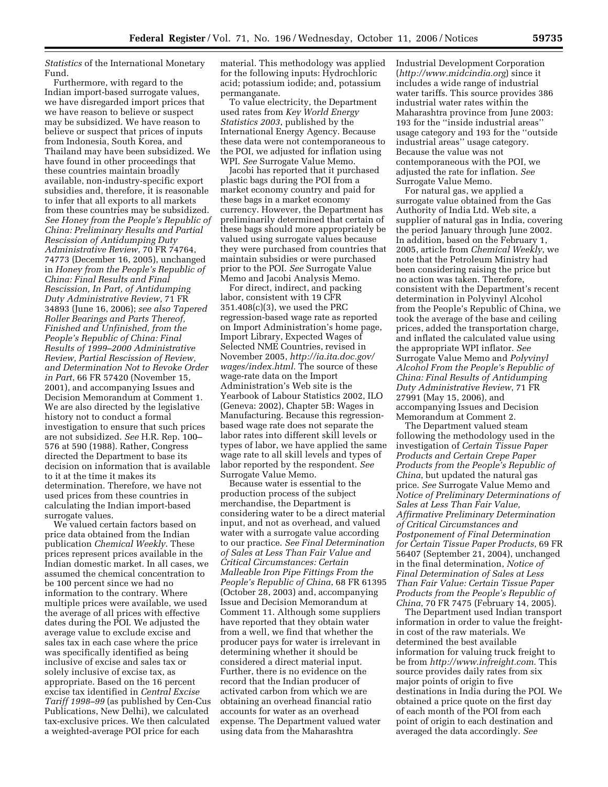*Statistics* of the International Monetary Fund.

Furthermore, with regard to the Indian import-based surrogate values, we have disregarded import prices that we have reason to believe or suspect may be subsidized. We have reason to believe or suspect that prices of inputs from Indonesia, South Korea, and Thailand may have been subsidized. We have found in other proceedings that these countries maintain broadly available, non-industry-specific export subsidies and, therefore, it is reasonable to infer that all exports to all markets from these countries may be subsidized. *See Honey from the People's Republic of China: Preliminary Results and Partial Rescission of Antidumping Duty Administrative Review*, 70 FR 74764, 74773 (December 16, 2005), unchanged in *Honey from the People's Republic of China: Final Results and Final Rescission, In Part, of Antidumping Duty Administrative Review*, 71 FR 34893 (June 16, 2006); *see also Tapered Roller Bearings and Parts Thereof, Finished and Unfinished, from the People's Republic of China: Final Results of 1999–2000 Administrative Review, Partial Rescission of Review, and Determination Not to Revoke Order in Part*, 66 FR 57420 (November 15, 2001), and accompanying Issues and Decision Memorandum at Comment 1. We are also directed by the legislative history not to conduct a formal investigation to ensure that such prices are not subsidized. *See* H.R. Rep. 100– 576 at 590 (1988). Rather, Congress directed the Department to base its decision on information that is available to it at the time it makes its determination. Therefore, we have not used prices from these countries in calculating the Indian import-based surrogate values.

We valued certain factors based on price data obtained from the Indian publication *Chemical Weekly*. These prices represent prices available in the Indian domestic market. In all cases, we assumed the chemical concentration to be 100 percent since we had no information to the contrary. Where multiple prices were available, we used the average of all prices with effective dates during the POI. We adjusted the average value to exclude excise and sales tax in each case where the price was specifically identified as being inclusive of excise and sales tax or solely inclusive of excise tax, as appropriate. Based on the 16 percent excise tax identified in *Central Excise Tariff 1998–99* (as published by Cen-Cus Publications, New Delhi), we calculated tax-exclusive prices. We then calculated a weighted-average POI price for each

material. This methodology was applied for the following inputs: Hydrochloric acid; potassium iodide; and, potassium permanganate.

To value electricity, the Department used rates from *Key World Energy Statistics 2003*, published by the International Energy Agency. Because these data were not contemporaneous to the POI, we adjusted for inflation using WPI. *See* Surrogate Value Memo.

Jacobi has reported that it purchased plastic bags during the POI from a market economy country and paid for these bags in a market economy currency. However, the Department has preliminarily determined that certain of these bags should more appropriately be valued using surrogate values because they were purchased from countries that maintain subsidies or were purchased prior to the POI. *See* Surrogate Value Memo and Jacobi Analysis Memo.

For direct, indirect, and packing labor, consistent with 19 CFR 351.408(c)(3), we used the PRC regression-based wage rate as reported on Import Administration's home page, Import Library, Expected Wages of Selected NME Countries, revised in November 2005, *http://ia.ita.doc.gov/ wages/index.html.* The source of these wage-rate data on the Import Administration's Web site is the Yearbook of Labour Statistics 2002, ILO (Geneva: 2002), Chapter 5B: Wages in Manufacturing. Because this regressionbased wage rate does not separate the labor rates into different skill levels or types of labor, we have applied the same wage rate to all skill levels and types of labor reported by the respondent. *See*  Surrogate Value Memo.

Because water is essential to the production process of the subject merchandise, the Department is considering water to be a direct material input, and not as overhead, and valued water with a surrogate value according to our practice. *See Final Determination of Sales at Less Than Fair Value and Critical Circumstances: Certain Malleable Iron Pipe Fittings From the People's Republic of China*, 68 FR 61395 (October 28, 2003) and, accompanying Issue and Decision Memorandum at Comment 11. Although some suppliers have reported that they obtain water from a well, we find that whether the producer pays for water is irrelevant in determining whether it should be considered a direct material input. Further, there is no evidence on the record that the Indian producer of activated carbon from which we are obtaining an overhead financial ratio accounts for water as an overhead expense. The Department valued water using data from the Maharashtra

Industrial Development Corporation (*http://www.midcindia.org*) since it includes a wide range of industrial water tariffs. This source provides 386 industrial water rates within the Maharashtra province from June 2003: 193 for the ''inside industrial areas'' usage category and 193 for the ''outside industrial areas'' usage category. Because the value was not contemporaneous with the POI, we adjusted the rate for inflation. *See*  Surrogate Value Memo.

For natural gas, we applied a surrogate value obtained from the Gas Authority of India Ltd. Web site, a supplier of natural gas in India, covering the period January through June 2002. In addition, based on the February 1, 2005, article from *Chemical Weekly*, we note that the Petroleum Ministry had been considering raising the price but no action was taken. Therefore, consistent with the Department's recent determination in Polyvinyl Alcohol from the People's Republic of China, we took the average of the base and ceiling prices, added the transportation charge, and inflated the calculated value using the appropriate WPI inflator. *See*  Surrogate Value Memo and *Polyvinyl Alcohol From the People's Republic of China: Final Results of Antidumping Duty Administrative Review*, 71 FR 27991 (May 15, 2006), and accompanying Issues and Decision Memorandum at Comment 2.

The Department valued steam following the methodology used in the investigation of *Certain Tissue Paper Products and Certain Crepe Paper Products from the People's Republic of China*, but updated the natural gas price. *See* Surrogate Value Memo and *Notice of Preliminary Determinations of Sales at Less Than Fair Value, Affirmative Preliminary Determination of Critical Circumstances and Postponement of Final Determination for Certain Tissue Paper Products*, 69 FR 56407 (September 21, 2004), unchanged in the final determination, *Notice of Final Determination of Sales at Less Than Fair Value: Certain Tissue Paper Products from the People's Republic of China*, 70 FR 7475 (February 14, 2005).

The Department used Indian transport information in order to value the freightin cost of the raw materials. We determined the best available information for valuing truck freight to be from *http://www.infreight.com.* This source provides daily rates from six major points of origin to five destinations in India during the POI. We obtained a price quote on the first day of each month of the POI from each point of origin to each destination and averaged the data accordingly. *See*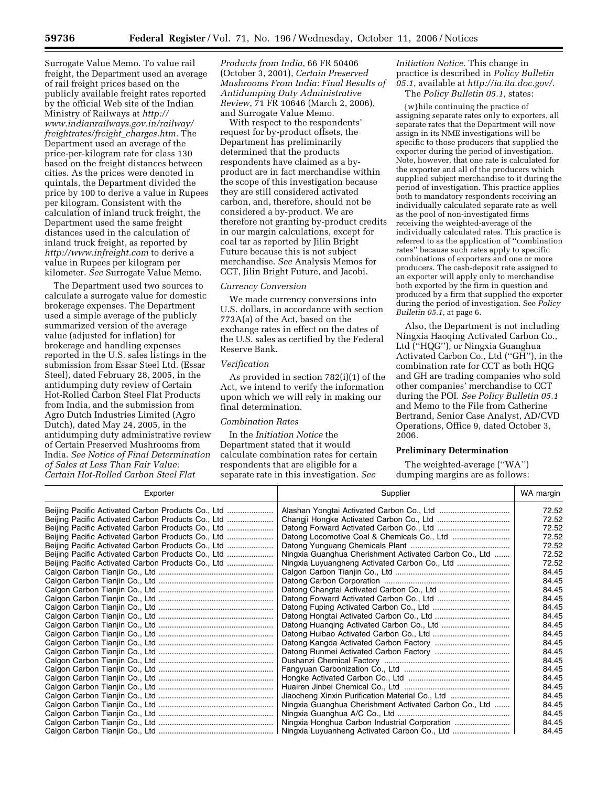Surrogate Value Memo. To value rail freight, the Department used an average of rail freight prices based on the publicly available freight rates reported by the official Web site of the Indian Ministry of Railways at *http:// www.indianrailways.gov.in/railway/ freightrates/freight*\_*charges.htm.* The Department used an average of the price-per-kilogram rate for class 130 based on the freight distances between cities. As the prices were denoted in quintals, the Department divided the price by 100 to derive a value in Rupees per kilogram. Consistent with the calculation of inland truck freight, the Department used the same freight distances used in the calculation of inland truck freight, as reported by *http://www.infreight.com* to derive a value in Rupees per kilogram per kilometer. *See* Surrogate Value Memo.

The Department used two sources to calculate a surrogate value for domestic brokerage expenses. The Department used a simple average of the publicly summarized version of the average value (adjusted for inflation) for brokerage and handling expenses reported in the U.S. sales listings in the submission from Essar Steel Ltd. (Essar Steel), dated February 28, 2005, in the antidumping duty review of Certain Hot-Rolled Carbon Steel Flat Products from India, and the submission from Agro Dutch Industries Limited (Agro Dutch), dated May 24, 2005, in the antidumping duty administrative review of Certain Preserved Mushrooms from India. *See Notice of Final Determination of Sales at Less Than Fair Value: Certain Hot-Rolled Carbon Steel Flat* 

*Products from India*, 66 FR 50406 (October 3, 2001), *Certain Preserved Mushrooms From India: Final Results of Antidumping Duty Administrative Review*, 71 FR 10646 (March 2, 2006), and Surrogate Value Memo.

With respect to the respondents' request for by-product offsets, the Department has preliminarily determined that the products respondents have claimed as a byproduct are in fact merchandise within the scope of this investigation because they are still considered activated carbon, and, therefore, should not be considered a by-product. We are therefore not granting by-product credits in our margin calculations, except for coal tar as reported by Jilin Bright Future because this is not subject merchandise. *See* Analysis Memos for CCT, Jilin Bright Future, and Jacobi.

### *Currency Conversion*

We made currency conversions into U.S. dollars, in accordance with section 773A(a) of the Act, based on the exchange rates in effect on the dates of the U.S. sales as certified by the Federal Reserve Bank.

#### *Verification*

As provided in section 782(i)(1) of the Act, we intend to verify the information upon which we will rely in making our final determination.

#### *Combination Rates*

In the *Initiation Notice* the Department stated that it would calculate combination rates for certain respondents that are eligible for a separate rate in this investigation. *See* 

*Initiation Notice.* This change in practice is described in *Policy Bulletin 05.1*, available at *http://ia.ita.doc.gov/.*  The *Policy Bulletin 05.1,* states:

{w}hile continuing the practice of assigning separate rates only to exporters, all separate rates that the Department will now assign in its NME investigations will be specific to those producers that supplied the exporter during the period of investigation. Note, however, that one rate is calculated for the exporter and all of the producers which supplied subject merchandise to it during the period of investigation. This practice applies both to mandatory respondents receiving an individually calculated separate rate as well as the pool of non-investigated firms receiving the weighted-average of the individually calculated rates. This practice is referred to as the application of ''combination rates'' because such rates apply to specific combinations of exporters and one or more producers. The cash-deposit rate assigned to an exporter will apply only to merchandise both exported by the firm in question and produced by a firm that supplied the exporter during the period of investigation. See *Policy Bulletin 05.1,* at page 6.

Also, the Department is not including Ningxia Haoqing Activated Carbon Co., Ltd (''HQG''), or Ningxia Guanghua Activated Carbon Co., Ltd (''GH''), in the combination rate for CCT as both HQG and GH are trading companies who sold other companies' merchandise to CCT during the POI. *See Policy Bulletin 05.1*  and Memo to the File from Catherine Bertrand, Senior Case Analyst, AD/CVD Operations, Office 9, dated October 3, 2006.

### **Preliminary Determination**

The weighted-average (''WA'') dumping margins are as follows:

| Exporter                                           | Supplier                                               | WA margin |
|----------------------------------------------------|--------------------------------------------------------|-----------|
| Beijing Pacific Activated Carbon Products Co., Ltd |                                                        | 72.52     |
| Beijing Pacific Activated Carbon Products Co., Ltd |                                                        | 72.52     |
| Beijing Pacific Activated Carbon Products Co., Ltd |                                                        | 72.52     |
| Beijing Pacific Activated Carbon Products Co., Ltd |                                                        | 72.52     |
| Beijing Pacific Activated Carbon Products Co., Ltd |                                                        | 72.52     |
| Beijing Pacific Activated Carbon Products Co., Ltd | Ningxia Guanghua Cherishment Activated Carbon Co., Ltd | 72.52     |
| Beijing Pacific Activated Carbon Products Co., Ltd |                                                        | 72.52     |
|                                                    |                                                        | 84.45     |
|                                                    |                                                        | 84.45     |
|                                                    |                                                        | 84.45     |
|                                                    |                                                        | 84.45     |
|                                                    |                                                        | 84.45     |
|                                                    |                                                        | 84.45     |
|                                                    |                                                        | 84.45     |
|                                                    |                                                        | 84.45     |
|                                                    |                                                        | 84.45     |
|                                                    |                                                        | 84.45     |
|                                                    |                                                        | 84.45     |
|                                                    |                                                        | 84.45     |
|                                                    |                                                        | 84.45     |
|                                                    |                                                        | 84.45     |
|                                                    | Jiaocheng Xinxin Purification Material Co., Ltd        | 84.45     |
|                                                    | Ningxia Guanghua Cherishment Activated Carbon Co., Ltd | 84.45     |
|                                                    |                                                        | 84.45     |
|                                                    |                                                        | 84.45     |
|                                                    |                                                        | 84.45     |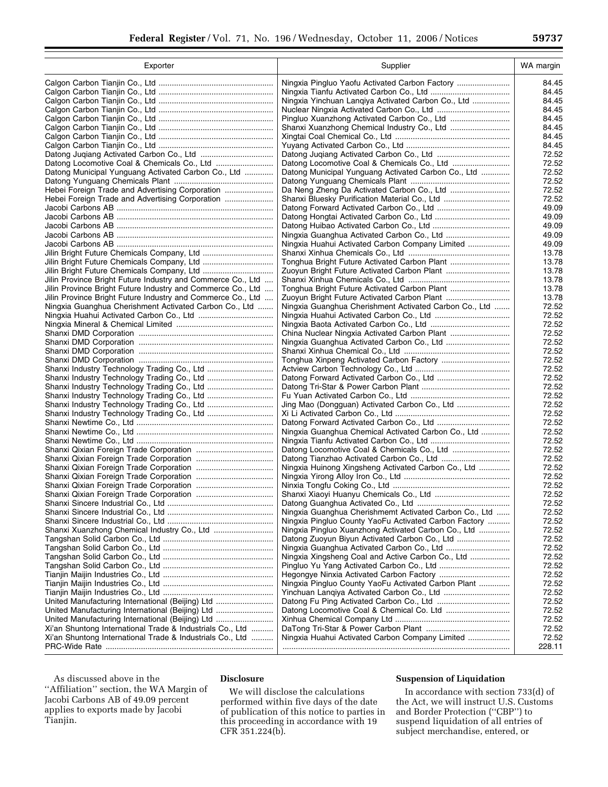| Exporter                                                                                             | Supplier                                               | WA margin      |
|------------------------------------------------------------------------------------------------------|--------------------------------------------------------|----------------|
|                                                                                                      | Ningxia Pingluo Yaofu Activated Carbon Factory         | 84.45          |
|                                                                                                      |                                                        | 84.45          |
|                                                                                                      | Ningxia Yinchuan Langiya Activated Carbon Co., Ltd     | 84.45          |
|                                                                                                      |                                                        | 84.45          |
|                                                                                                      |                                                        | 84.45          |
|                                                                                                      |                                                        | 84.45          |
|                                                                                                      |                                                        | 84.45          |
|                                                                                                      |                                                        | 84.45          |
|                                                                                                      |                                                        | 72.52          |
| Datong Municipal Yunguang Activated Carbon Co., Ltd                                                  | Datong Municipal Yunguang Activated Carbon Co., Ltd    | 72.52<br>72.52 |
|                                                                                                      |                                                        | 72.52          |
| Hebei Foreign Trade and Advertising Corporation                                                      |                                                        | 72.52          |
| Hebei Foreign Trade and Advertising Corporation                                                      |                                                        | 72.52          |
|                                                                                                      |                                                        | 49.09          |
|                                                                                                      |                                                        | 49.09          |
|                                                                                                      |                                                        | 49.09          |
|                                                                                                      |                                                        | 49.09          |
|                                                                                                      | Ningxia Huahui Activated Carbon Company Limited        | 49.09          |
|                                                                                                      |                                                        | 13.78          |
|                                                                                                      |                                                        | 13.78          |
|                                                                                                      | Zuoyun Bright Future Activated Carbon Plant            | 13.78          |
| Jilin Province Bright Future Industry and Commerce Co., Ltd                                          |                                                        | 13.78          |
| Jilin Province Bright Future Industry and Commerce Co., Ltd                                          |                                                        | 13.78          |
| Jilin Province Bright Future Industry and Commerce Co., Ltd                                          |                                                        | 13.78          |
| Ningxia Guanghua Cherishment Activated Carbon Co., Ltd                                               | Ningxia Guanghua Cherishment Activated Carbon Co., Ltd | 72.52          |
|                                                                                                      |                                                        | 72.52<br>72.52 |
|                                                                                                      |                                                        | 72.52          |
|                                                                                                      |                                                        | 72.52          |
|                                                                                                      |                                                        | 72.52          |
|                                                                                                      |                                                        | 72.52          |
|                                                                                                      |                                                        | 72.52          |
| Shanxi Industry Technology Trading Co., Ltd                                                          |                                                        | 72.52          |
|                                                                                                      |                                                        | 72.52          |
|                                                                                                      |                                                        | 72.52          |
| Shanxi Industry Technology Trading Co., Ltd                                                          |                                                        | 72.52          |
| Shanxi Industry Technology Trading Co., Ltd                                                          |                                                        | 72.52          |
|                                                                                                      |                                                        | 72.52          |
|                                                                                                      | Ningxia Guanghua Chemical Activated Carbon Co., Ltd    | 72.52          |
|                                                                                                      |                                                        | 72.52          |
|                                                                                                      |                                                        | 72.52          |
|                                                                                                      | Ningxia Huinong Xingsheng Activated Carbon Co., Ltd    | 72.52<br>72.52 |
|                                                                                                      |                                                        | 72.52          |
|                                                                                                      |                                                        | 72.52          |
|                                                                                                      |                                                        | 72.52          |
|                                                                                                      |                                                        | 72.52          |
|                                                                                                      | Ningxia Guanghua Cherishmemt Activated Carbon Co., Ltd | 72.52          |
|                                                                                                      | Ningxia Pingluo County YaoFu Activated Carbon Factory  | 72.52          |
| Shanxi Xuanzhong Chemical Industry Co., Ltd                                                          | Ningxia Pingluo Xuanzhong Activated Carbon Co., Ltd    | 72.52          |
|                                                                                                      | Datong Zuoyun Biyun Activated Carbon Co., Ltd          | 72.52          |
|                                                                                                      |                                                        | 72.52          |
|                                                                                                      | Ningxia Xingsheng Coal and Active Carbon Co., Ltd      | 72.52          |
|                                                                                                      |                                                        | 72.52          |
|                                                                                                      |                                                        | 72.52          |
|                                                                                                      | Ningxia Pingluo County YaoFu Activated Carbon Plant    | 72.52          |
|                                                                                                      |                                                        | 72.52          |
| United Manufacturing International (Beijing) Ltd<br>United Manufacturing International (Beijing) Ltd |                                                        | 72.52<br>72.52 |
| United Manufacturing International (Beijing) Ltd                                                     |                                                        | 72.52          |
| Xi'an Shuntong International Trade & Industrials Co., Ltd                                            |                                                        | 72.52          |
| Xi'an Shuntong International Trade & Industrials Co., Ltd                                            | Ningxia Huahui Activated Carbon Company Limited        | 72.52          |
|                                                                                                      |                                                        | 228.11         |
|                                                                                                      |                                                        |                |

As discussed above in the ''Affiliation'' section, the WA Margin of Jacobi Carbons AB of 49.09 percent applies to exports made by Jacobi Tianjin.

# **Disclosure**

We will disclose the calculations performed within five days of the date of publication of this notice to parties in this proceeding in accordance with 19 CFR 351.224(b).

# **Suspension of Liquidation**

In accordance with section 733(d) of the Act, we will instruct U.S. Customs and Border Protection (''CBP'') to suspend liquidation of all entries of subject merchandise, entered, or